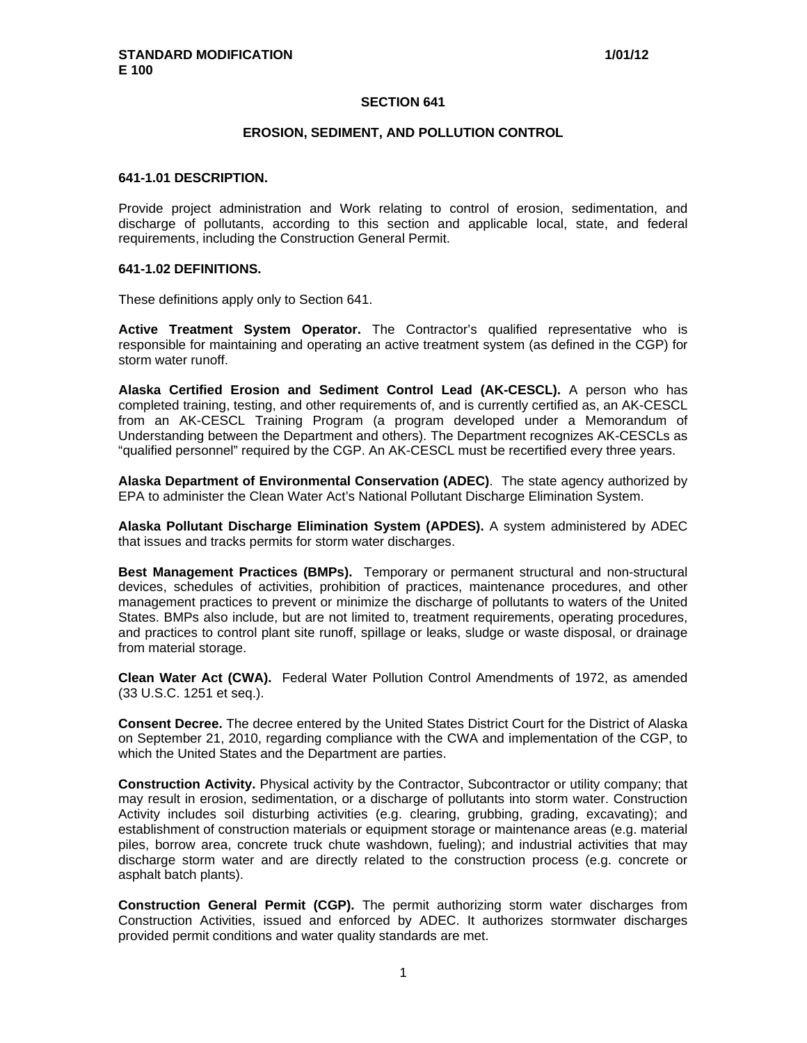### **SECTION 641**

#### **EROSION, SEDIMENT, AND POLLUTION CONTROL**

#### **641-1.01 DESCRIPTION.**

Provide project administration and Work relating to control of erosion, sedimentation, and discharge of pollutants, according to this section and applicable local, state, and federal requirements, including the Construction General Permit.

### **641-1.02 DEFINITIONS.**

These definitions apply only to Section 641.

**Active Treatment System Operator.** The Contractor's qualified representative who is responsible for maintaining and operating an active treatment system (as defined in the CGP) for storm water runoff.

**Alaska Certified Erosion and Sediment Control Lead (AK-CESCL).** A person who has completed training, testing, and other requirements of, and is currently certified as, an AK-CESCL from an AK-CESCL Training Program (a program developed under a Memorandum of Understanding between the Department and others). The Department recognizes AK-CESCLs as "qualified personnel" required by the CGP. An AK-CESCL must be recertified every three years.

**Alaska Department of Environmental Conservation (ADEC)**. The state agency authorized by EPA to administer the Clean Water Act's National Pollutant Discharge Elimination System.

**Alaska Pollutant Discharge Elimination System (APDES).** A system administered by ADEC that issues and tracks permits for storm water discharges.

**Best Management Practices (BMPs).** Temporary or permanent structural and non-structural devices, schedules of activities, prohibition of practices, maintenance procedures, and other management practices to prevent or minimize the discharge of pollutants to waters of the United States. BMPs also include, but are not limited to, treatment requirements, operating procedures, and practices to control plant site runoff, spillage or leaks, sludge or waste disposal, or drainage from material storage.

**Clean Water Act (CWA).** Federal Water Pollution Control Amendments of 1972, as amended (33 U.S.C. 1251 et seq.).

**Consent Decree.** The decree entered by the United States District Court for the District of Alaska on September 21, 2010, regarding compliance with the CWA and implementation of the CGP, to which the United States and the Department are parties.

**Construction Activity.** Physical activity by the Contractor, Subcontractor or utility company; that may result in erosion, sedimentation, or a discharge of pollutants into storm water. Construction Activity includes soil disturbing activities (e.g. clearing, grubbing, grading, excavating); and establishment of construction materials or equipment storage or maintenance areas (e.g. material piles, borrow area, concrete truck chute washdown, fueling); and industrial activities that may discharge storm water and are directly related to the construction process (e.g. concrete or asphalt batch plants).

**Construction General Permit (CGP).** The permit authorizing storm water discharges from Construction Activities, issued and enforced by ADEC. It authorizes stormwater discharges provided permit conditions and water quality standards are met.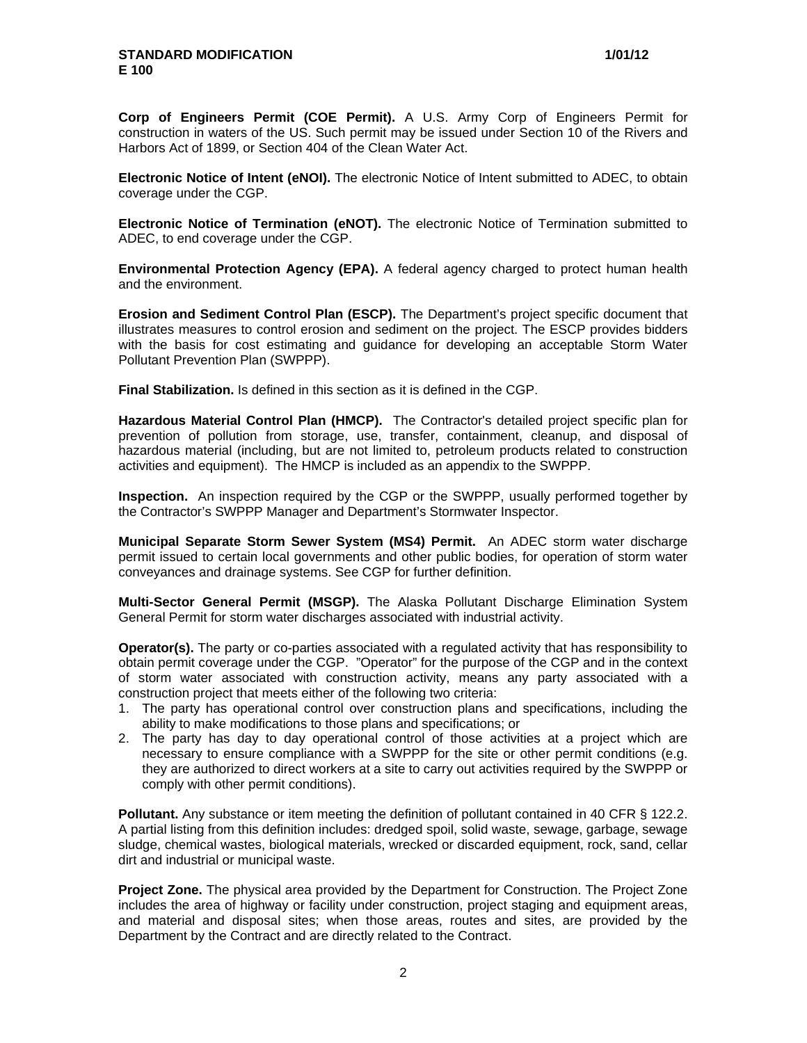**Corp of Engineers Permit (COE Permit).** A U.S. Army Corp of Engineers Permit for construction in waters of the US. Such permit may be issued under Section 10 of the Rivers and Harbors Act of 1899, or Section 404 of the Clean Water Act.

**Electronic Notice of Intent (eNOI).** The electronic Notice of Intent submitted to ADEC, to obtain coverage under the CGP.

**Electronic Notice of Termination (eNOT).** The electronic Notice of Termination submitted to ADEC, to end coverage under the CGP.

**Environmental Protection Agency (EPA).** A federal agency charged to protect human health and the environment.

**Erosion and Sediment Control Plan (ESCP).** The Department's project specific document that illustrates measures to control erosion and sediment on the project. The ESCP provides bidders with the basis for cost estimating and guidance for developing an acceptable Storm Water Pollutant Prevention Plan (SWPPP).

**Final Stabilization.** Is defined in this section as it is defined in the CGP.

**Hazardous Material Control Plan (HMCP).** The Contractor's detailed project specific plan for prevention of pollution from storage, use, transfer, containment, cleanup, and disposal of hazardous material (including, but are not limited to, petroleum products related to construction activities and equipment). The HMCP is included as an appendix to the SWPPP.

**Inspection.** An inspection required by the CGP or the SWPPP, usually performed together by the Contractor's SWPPP Manager and Department's Stormwater Inspector.

**Municipal Separate Storm Sewer System (MS4) Permit.** An ADEC storm water discharge permit issued to certain local governments and other public bodies, for operation of storm water conveyances and drainage systems. See CGP for further definition.

**Multi-Sector General Permit (MSGP).** The Alaska Pollutant Discharge Elimination System General Permit for storm water discharges associated with industrial activity.

**Operator(s).** The party or co-parties associated with a regulated activity that has responsibility to obtain permit coverage under the CGP. "Operator" for the purpose of the CGP and in the context of storm water associated with construction activity, means any party associated with a construction project that meets either of the following two criteria:

- 1. The party has operational control over construction plans and specifications, including the ability to make modifications to those plans and specifications; or
- 2. The party has day to day operational control of those activities at a project which are necessary to ensure compliance with a SWPPP for the site or other permit conditions (e.g. they are authorized to direct workers at a site to carry out activities required by the SWPPP or comply with other permit conditions).

**Pollutant.** Any substance or item meeting the definition of pollutant contained in 40 CFR § 122.2. A partial listing from this definition includes: dredged spoil, solid waste, sewage, garbage, sewage sludge, chemical wastes, biological materials, wrecked or discarded equipment, rock, sand, cellar dirt and industrial or municipal waste.

**Project Zone.** The physical area provided by the Department for Construction. The Project Zone includes the area of highway or facility under construction, project staging and equipment areas, and material and disposal sites; when those areas, routes and sites, are provided by the Department by the Contract and are directly related to the Contract.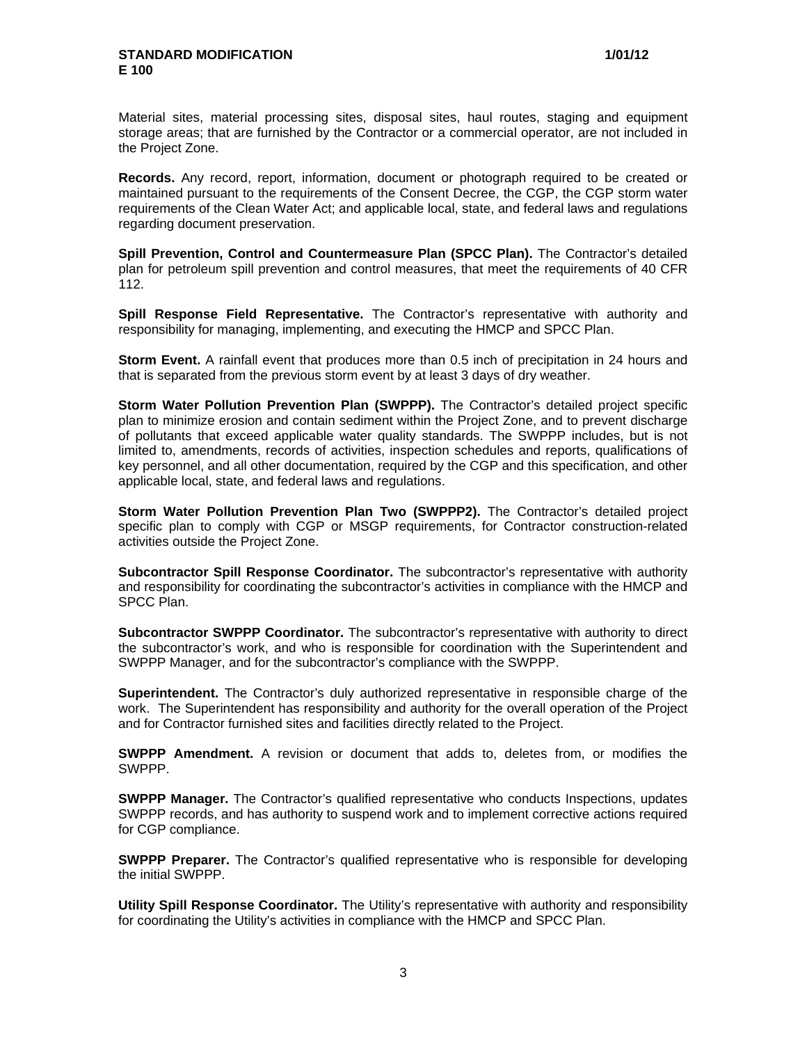Material sites, material processing sites, disposal sites, haul routes, staging and equipment storage areas; that are furnished by the Contractor or a commercial operator, are not included in the Project Zone.

**Records.** Any record, report, information, document or photograph required to be created or maintained pursuant to the requirements of the Consent Decree, the CGP, the CGP storm water requirements of the Clean Water Act; and applicable local, state, and federal laws and regulations regarding document preservation.

**Spill Prevention, Control and Countermeasure Plan (SPCC Plan).** The Contractor's detailed plan for petroleum spill prevention and control measures, that meet the requirements of 40 CFR 112.

**Spill Response Field Representative.** The Contractor's representative with authority and responsibility for managing, implementing, and executing the HMCP and SPCC Plan.

**Storm Event.** A rainfall event that produces more than 0.5 inch of precipitation in 24 hours and that is separated from the previous storm event by at least 3 days of dry weather.

**Storm Water Pollution Prevention Plan (SWPPP).** The Contractor's detailed project specific plan to minimize erosion and contain sediment within the Project Zone, and to prevent discharge of pollutants that exceed applicable water quality standards. The SWPPP includes, but is not limited to, amendments, records of activities, inspection schedules and reports, qualifications of key personnel, and all other documentation, required by the CGP and this specification, and other applicable local, state, and federal laws and regulations.

**Storm Water Pollution Prevention Plan Two (SWPPP2).** The Contractor's detailed project specific plan to comply with CGP or MSGP requirements, for Contractor construction-related activities outside the Project Zone.

**Subcontractor Spill Response Coordinator.** The subcontractor's representative with authority and responsibility for coordinating the subcontractor's activities in compliance with the HMCP and SPCC Plan.

**Subcontractor SWPPP Coordinator.** The subcontractor's representative with authority to direct the subcontractor's work, and who is responsible for coordination with the Superintendent and SWPPP Manager, and for the subcontractor's compliance with the SWPPP.

**Superintendent.** The Contractor's duly authorized representative in responsible charge of the work. The Superintendent has responsibility and authority for the overall operation of the Project and for Contractor furnished sites and facilities directly related to the Project.

**SWPPP Amendment.** A revision or document that adds to, deletes from, or modifies the SWPPP.

**SWPPP Manager.** The Contractor's qualified representative who conducts Inspections, updates SWPPP records, and has authority to suspend work and to implement corrective actions required for CGP compliance.

**SWPPP Preparer.** The Contractor's qualified representative who is responsible for developing the initial SWPPP.

**Utility Spill Response Coordinator.** The Utility's representative with authority and responsibility for coordinating the Utility's activities in compliance with the HMCP and SPCC Plan.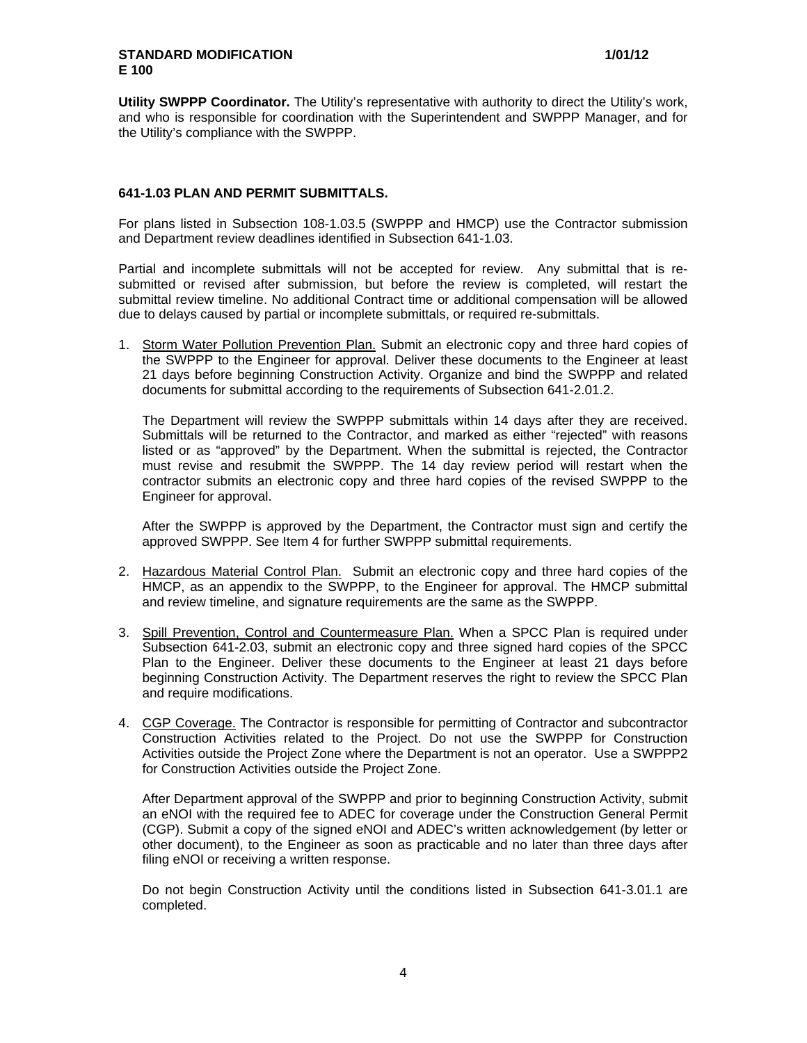**Utility SWPPP Coordinator.** The Utility's representative with authority to direct the Utility's work, and who is responsible for coordination with the Superintendent and SWPPP Manager, and for the Utility's compliance with the SWPPP.

### **641-1.03 PLAN AND PERMIT SUBMITTALS.**

For plans listed in Subsection 108-1.03.5 (SWPPP and HMCP) use the Contractor submission and Department review deadlines identified in Subsection 641-1.03.

Partial and incomplete submittals will not be accepted for review. Any submittal that is resubmitted or revised after submission, but before the review is completed, will restart the submittal review timeline. No additional Contract time or additional compensation will be allowed due to delays caused by partial or incomplete submittals, or required re-submittals.

1. Storm Water Pollution Prevention Plan. Submit an electronic copy and three hard copies of the SWPPP to the Engineer for approval. Deliver these documents to the Engineer at least 21 days before beginning Construction Activity. Organize and bind the SWPPP and related documents for submittal according to the requirements of Subsection 641-2.01.2.

The Department will review the SWPPP submittals within 14 days after they are received. Submittals will be returned to the Contractor, and marked as either "rejected" with reasons listed or as "approved" by the Department. When the submittal is rejected, the Contractor must revise and resubmit the SWPPP. The 14 day review period will restart when the contractor submits an electronic copy and three hard copies of the revised SWPPP to the Engineer for approval.

After the SWPPP is approved by the Department, the Contractor must sign and certify the approved SWPPP. See Item 4 for further SWPPP submittal requirements.

- 2. Hazardous Material Control Plan. Submit an electronic copy and three hard copies of the HMCP, as an appendix to the SWPPP, to the Engineer for approval. The HMCP submittal and review timeline, and signature requirements are the same as the SWPPP.
- 3. Spill Prevention, Control and Countermeasure Plan. When a SPCC Plan is required under Subsection 641-2.03, submit an electronic copy and three signed hard copies of the SPCC Plan to the Engineer. Deliver these documents to the Engineer at least 21 days before beginning Construction Activity. The Department reserves the right to review the SPCC Plan and require modifications.
- 4. CGP Coverage. The Contractor is responsible for permitting of Contractor and subcontractor Construction Activities related to the Project. Do not use the SWPPP for Construction Activities outside the Project Zone where the Department is not an operator. Use a SWPPP2 for Construction Activities outside the Project Zone.

After Department approval of the SWPPP and prior to beginning Construction Activity, submit an eNOI with the required fee to ADEC for coverage under the Construction General Permit (CGP). Submit a copy of the signed eNOI and ADEC's written acknowledgement (by letter or other document), to the Engineer as soon as practicable and no later than three days after filing eNOI or receiving a written response.

Do not begin Construction Activity until the conditions listed in Subsection 641-3.01.1 are completed.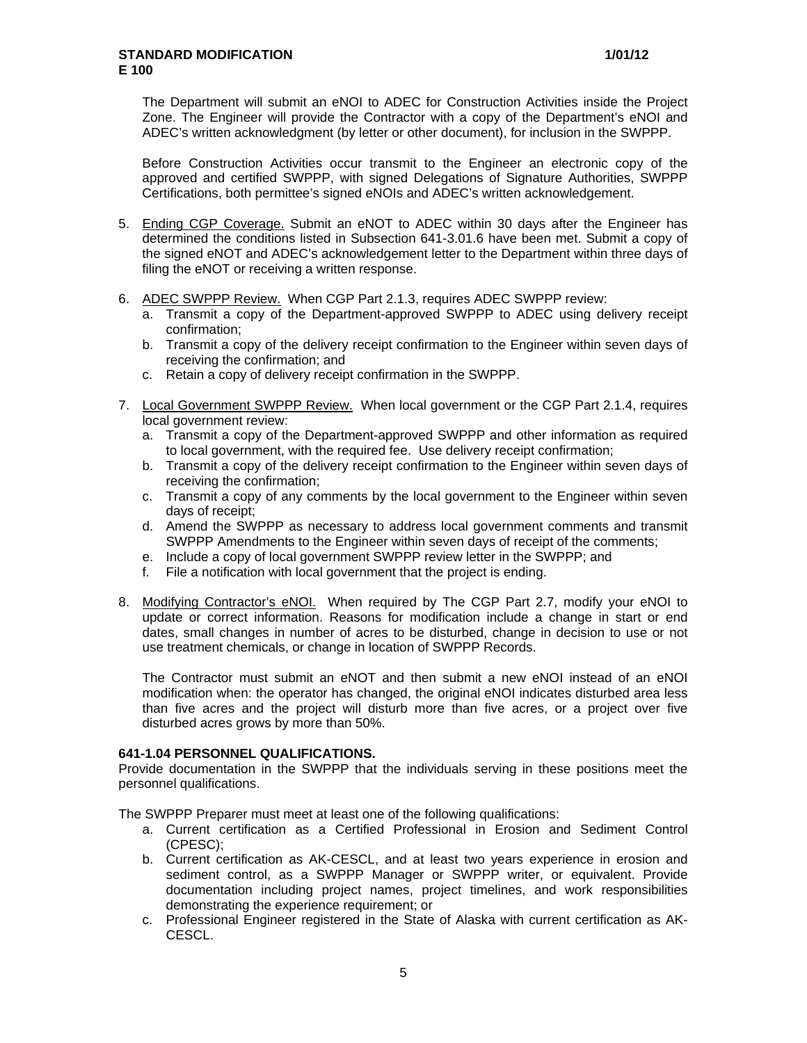The Department will submit an eNOI to ADEC for Construction Activities inside the Project Zone. The Engineer will provide the Contractor with a copy of the Department's eNOI and ADEC's written acknowledgment (by letter or other document), for inclusion in the SWPPP.

Before Construction Activities occur transmit to the Engineer an electronic copy of the approved and certified SWPPP, with signed Delegations of Signature Authorities, SWPPP Certifications, both permittee's signed eNOIs and ADEC's written acknowledgement.

- 5. Ending CGP Coverage. Submit an eNOT to ADEC within 30 days after the Engineer has determined the conditions listed in Subsection 641-3.01.6 have been met. Submit a copy of the signed eNOT and ADEC's acknowledgement letter to the Department within three days of filing the eNOT or receiving a written response.
- 6. ADEC SWPPP Review. When CGP Part 2.1.3, requires ADEC SWPPP review:
	- a. Transmit a copy of the Department-approved SWPPP to ADEC using delivery receipt confirmation;
	- b. Transmit a copy of the delivery receipt confirmation to the Engineer within seven days of receiving the confirmation; and
	- c. Retain a copy of delivery receipt confirmation in the SWPPP.
- 7. Local Government SWPPP Review. When local government or the CGP Part 2.1.4, requires local government review:
	- a. Transmit a copy of the Department-approved SWPPP and other information as required to local government, with the required fee. Use delivery receipt confirmation;
	- b. Transmit a copy of the delivery receipt confirmation to the Engineer within seven days of receiving the confirmation;
	- c. Transmit a copy of any comments by the local government to the Engineer within seven days of receipt;
	- d. Amend the SWPPP as necessary to address local government comments and transmit SWPPP Amendments to the Engineer within seven days of receipt of the comments;
	- e. Include a copy of local government SWPPP review letter in the SWPPP; and
	- f. File a notification with local government that the project is ending.
- 8. Modifying Contractor's eNOI. When required by The CGP Part 2.7, modify your eNOI to update or correct information. Reasons for modification include a change in start or end dates, small changes in number of acres to be disturbed, change in decision to use or not use treatment chemicals, or change in location of SWPPP Records.

The Contractor must submit an eNOT and then submit a new eNOI instead of an eNOI modification when: the operator has changed, the original eNOI indicates disturbed area less than five acres and the project will disturb more than five acres, or a project over five disturbed acres grows by more than 50%.

### **641-1.04 PERSONNEL QUALIFICATIONS.**

Provide documentation in the SWPPP that the individuals serving in these positions meet the personnel qualifications.

The SWPPP Preparer must meet at least one of the following qualifications:

- a. Current certification as a Certified Professional in Erosion and Sediment Control (CPESC);
- b. Current certification as AK-CESCL, and at least two years experience in erosion and sediment control, as a SWPPP Manager or SWPPP writer, or equivalent. Provide documentation including project names, project timelines, and work responsibilities demonstrating the experience requirement; or
- c. Professional Engineer registered in the State of Alaska with current certification as AK-CESCL.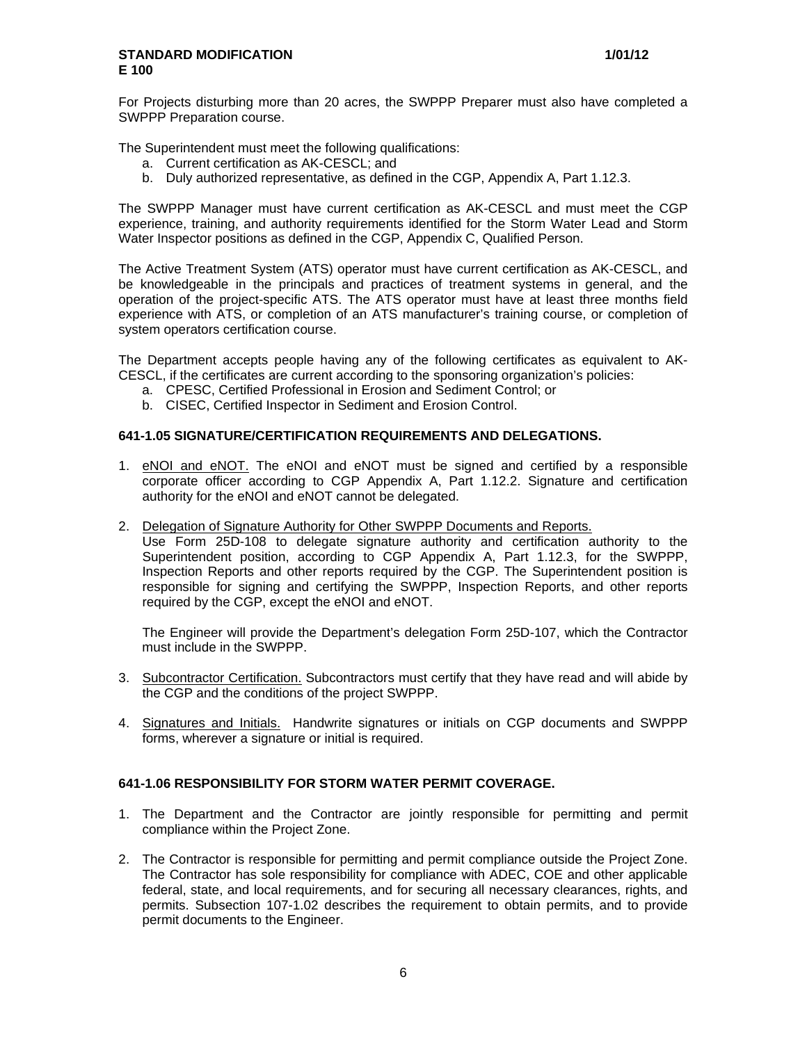For Projects disturbing more than 20 acres, the SWPPP Preparer must also have completed a SWPPP Preparation course.

The Superintendent must meet the following qualifications:

- a. Current certification as AK-CESCL; and
- b. Duly authorized representative, as defined in the CGP, Appendix A, Part 1.12.3.

The SWPPP Manager must have current certification as AK-CESCL and must meet the CGP experience, training, and authority requirements identified for the Storm Water Lead and Storm Water Inspector positions as defined in the CGP, Appendix C, Qualified Person.

The Active Treatment System (ATS) operator must have current certification as AK-CESCL, and be knowledgeable in the principals and practices of treatment systems in general, and the operation of the project-specific ATS. The ATS operator must have at least three months field experience with ATS, or completion of an ATS manufacturer's training course, or completion of system operators certification course.

The Department accepts people having any of the following certificates as equivalent to AK-CESCL, if the certificates are current according to the sponsoring organization's policies:

- a. CPESC, Certified Professional in Erosion and Sediment Control; or
- b. CISEC, Certified Inspector in Sediment and Erosion Control.

# **641-1.05 SIGNATURE/CERTIFICATION REQUIREMENTS AND DELEGATIONS.**

- 1. eNOI and eNOT. The eNOI and eNOT must be signed and certified by a responsible corporate officer according to CGP Appendix A, Part 1.12.2. Signature and certification authority for the eNOI and eNOT cannot be delegated.
- 2. Delegation of Signature Authority for Other SWPPP Documents and Reports.

Use Form 25D-108 to delegate signature authority and certification authority to the Superintendent position, according to CGP Appendix A, Part 1.12.3, for the SWPPP, Inspection Reports and other reports required by the CGP. The Superintendent position is responsible for signing and certifying the SWPPP, Inspection Reports, and other reports required by the CGP, except the eNOI and eNOT.

The Engineer will provide the Department's delegation Form 25D-107, which the Contractor must include in the SWPPP.

- 3. Subcontractor Certification. Subcontractors must certify that they have read and will abide by the CGP and the conditions of the project SWPPP.
- 4. Signatures and Initials. Handwrite signatures or initials on CGP documents and SWPPP forms, wherever a signature or initial is required.

### **641-1.06 RESPONSIBILITY FOR STORM WATER PERMIT COVERAGE.**

- 1. The Department and the Contractor are jointly responsible for permitting and permit compliance within the Project Zone.
- 2. The Contractor is responsible for permitting and permit compliance outside the Project Zone. The Contractor has sole responsibility for compliance with ADEC, COE and other applicable federal, state, and local requirements, and for securing all necessary clearances, rights, and permits. Subsection 107-1.02 describes the requirement to obtain permits, and to provide permit documents to the Engineer.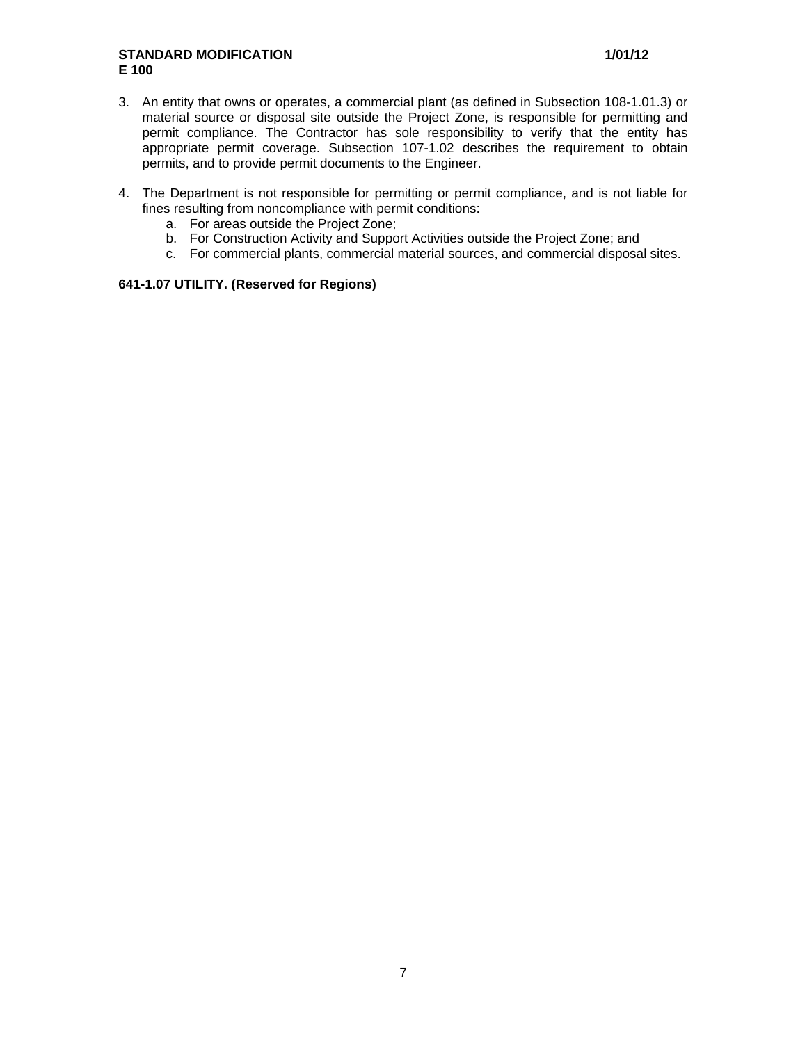- 3. An entity that owns or operates, a commercial plant (as defined in Subsection 108-1.01.3) or material source or disposal site outside the Project Zone, is responsible for permitting and permit compliance. The Contractor has sole responsibility to verify that the entity has appropriate permit coverage. Subsection 107-1.02 describes the requirement to obtain permits, and to provide permit documents to the Engineer.
- 4. The Department is not responsible for permitting or permit compliance, and is not liable for fines resulting from noncompliance with permit conditions:
	- a. For areas outside the Project Zone;
	- b. For Construction Activity and Support Activities outside the Project Zone; and
	- c. For commercial plants, commercial material sources, and commercial disposal sites.

# **641-1.07 UTILITY. (Reserved for Regions)**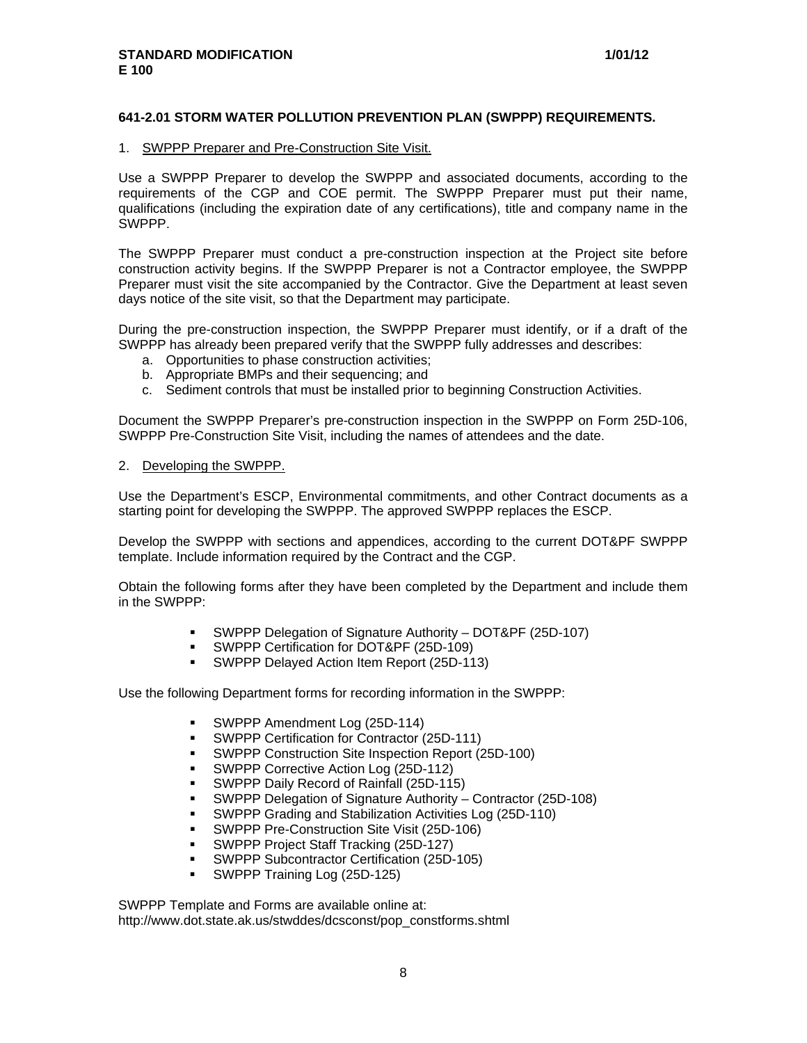### **641-2.01 STORM WATER POLLUTION PREVENTION PLAN (SWPPP) REQUIREMENTS.**

#### 1. SWPPP Preparer and Pre-Construction Site Visit.

Use a SWPPP Preparer to develop the SWPPP and associated documents, according to the requirements of the CGP and COE permit. The SWPPP Preparer must put their name, qualifications (including the expiration date of any certifications), title and company name in the SWPPP.

The SWPPP Preparer must conduct a pre-construction inspection at the Project site before construction activity begins. If the SWPPP Preparer is not a Contractor employee, the SWPPP Preparer must visit the site accompanied by the Contractor. Give the Department at least seven days notice of the site visit, so that the Department may participate.

During the pre-construction inspection, the SWPPP Preparer must identify, or if a draft of the SWPPP has already been prepared verify that the SWPPP fully addresses and describes:

- a. Opportunities to phase construction activities;
- b. Appropriate BMPs and their sequencing; and
- c. Sediment controls that must be installed prior to beginning Construction Activities.

Document the SWPPP Preparer's pre-construction inspection in the SWPPP on Form 25D-106, SWPPP Pre-Construction Site Visit, including the names of attendees and the date.

#### 2. Developing the SWPPP.

Use the Department's ESCP, Environmental commitments, and other Contract documents as a starting point for developing the SWPPP. The approved SWPPP replaces the ESCP.

Develop the SWPPP with sections and appendices, according to the current DOT&PF SWPPP template. Include information required by the Contract and the CGP.

Obtain the following forms after they have been completed by the Department and include them in the SWPPP:

- SWPPP Delegation of Signature Authority DOT&PF (25D-107)
- SWPPP Certification for DOT&PF (25D-109)
- SWPPP Delayed Action Item Report (25D-113)

Use the following Department forms for recording information in the SWPPP:

- SWPPP Amendment Log (25D-114)
- SWPPP Certification for Contractor (25D-111)
- SWPPP Construction Site Inspection Report (25D-100)
- SWPPP Corrective Action Log (25D-112)
- SWPPP Daily Record of Rainfall (25D-115)
- SWPPP Delegation of Signature Authority Contractor (25D-108)
- SWPPP Grading and Stabilization Activities Log (25D-110)
- SWPPP Pre-Construction Site Visit (25D-106)
- SWPPP Project Staff Tracking (25D-127)
- SWPPP Subcontractor Certification (25D-105)
- SWPPP Training Log (25D-125)

SWPPP Template and Forms are available online at: http://www.dot.state.ak.us/stwddes/dcsconst/pop\_constforms.shtml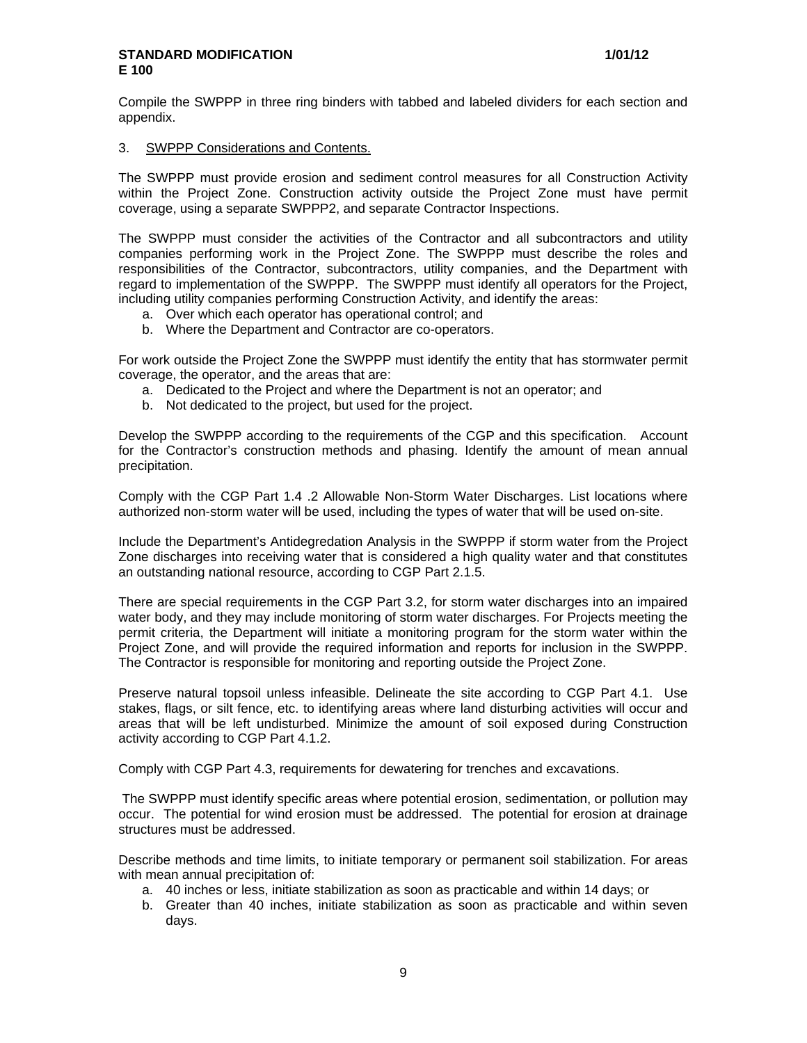Compile the SWPPP in three ring binders with tabbed and labeled dividers for each section and appendix.

### 3. SWPPP Considerations and Contents.

The SWPPP must provide erosion and sediment control measures for all Construction Activity within the Project Zone. Construction activity outside the Project Zone must have permit coverage, using a separate SWPPP2, and separate Contractor Inspections.

The SWPPP must consider the activities of the Contractor and all subcontractors and utility companies performing work in the Project Zone. The SWPPP must describe the roles and responsibilities of the Contractor, subcontractors, utility companies, and the Department with regard to implementation of the SWPPP. The SWPPP must identify all operators for the Project, including utility companies performing Construction Activity, and identify the areas:

- a. Over which each operator has operational control; and
- b. Where the Department and Contractor are co-operators.

For work outside the Project Zone the SWPPP must identify the entity that has stormwater permit coverage, the operator, and the areas that are:

- a. Dedicated to the Project and where the Department is not an operator; and
- b. Not dedicated to the project, but used for the project.

Develop the SWPPP according to the requirements of the CGP and this specification. Account for the Contractor's construction methods and phasing. Identify the amount of mean annual precipitation.

Comply with the CGP Part 1.4 .2 Allowable Non-Storm Water Discharges. List locations where authorized non-storm water will be used, including the types of water that will be used on-site.

Include the Department's Antidegredation Analysis in the SWPPP if storm water from the Project Zone discharges into receiving water that is considered a high quality water and that constitutes an outstanding national resource, according to CGP Part 2.1.5.

There are special requirements in the CGP Part 3.2, for storm water discharges into an impaired water body, and they may include monitoring of storm water discharges. For Projects meeting the permit criteria, the Department will initiate a monitoring program for the storm water within the Project Zone, and will provide the required information and reports for inclusion in the SWPPP. The Contractor is responsible for monitoring and reporting outside the Project Zone.

Preserve natural topsoil unless infeasible. Delineate the site according to CGP Part 4.1. Use stakes, flags, or silt fence, etc. to identifying areas where land disturbing activities will occur and areas that will be left undisturbed. Minimize the amount of soil exposed during Construction activity according to CGP Part 4.1.2.

Comply with CGP Part 4.3, requirements for dewatering for trenches and excavations.

The SWPPP must identify specific areas where potential erosion, sedimentation, or pollution may occur. The potential for wind erosion must be addressed. The potential for erosion at drainage structures must be addressed.

Describe methods and time limits, to initiate temporary or permanent soil stabilization. For areas with mean annual precipitation of:

- a. 40 inches or less, initiate stabilization as soon as practicable and within 14 days; or
- b. Greater than 40 inches, initiate stabilization as soon as practicable and within seven days.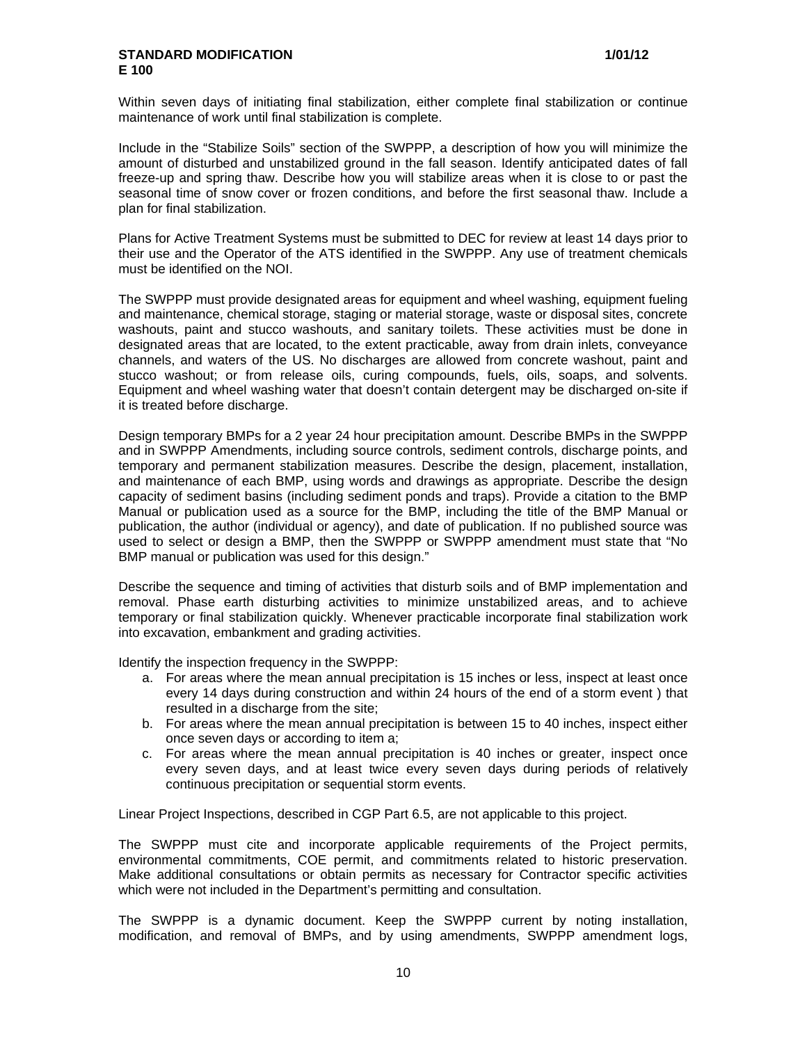Within seven days of initiating final stabilization, either complete final stabilization or continue maintenance of work until final stabilization is complete.

Include in the "Stabilize Soils" section of the SWPPP, a description of how you will minimize the amount of disturbed and unstabilized ground in the fall season. Identify anticipated dates of fall freeze-up and spring thaw. Describe how you will stabilize areas when it is close to or past the seasonal time of snow cover or frozen conditions, and before the first seasonal thaw. Include a plan for final stabilization.

Plans for Active Treatment Systems must be submitted to DEC for review at least 14 days prior to their use and the Operator of the ATS identified in the SWPPP. Any use of treatment chemicals must be identified on the NOI.

The SWPPP must provide designated areas for equipment and wheel washing, equipment fueling and maintenance, chemical storage, staging or material storage, waste or disposal sites, concrete washouts, paint and stucco washouts, and sanitary toilets. These activities must be done in designated areas that are located, to the extent practicable, away from drain inlets, conveyance channels, and waters of the US. No discharges are allowed from concrete washout, paint and stucco washout; or from release oils, curing compounds, fuels, oils, soaps, and solvents. Equipment and wheel washing water that doesn't contain detergent may be discharged on-site if it is treated before discharge.

Design temporary BMPs for a 2 year 24 hour precipitation amount. Describe BMPs in the SWPPP and in SWPPP Amendments, including source controls, sediment controls, discharge points, and temporary and permanent stabilization measures. Describe the design, placement, installation, and maintenance of each BMP, using words and drawings as appropriate. Describe the design capacity of sediment basins (including sediment ponds and traps). Provide a citation to the BMP Manual or publication used as a source for the BMP, including the title of the BMP Manual or publication, the author (individual or agency), and date of publication. If no published source was used to select or design a BMP, then the SWPPP or SWPPP amendment must state that "No BMP manual or publication was used for this design."

Describe the sequence and timing of activities that disturb soils and of BMP implementation and removal. Phase earth disturbing activities to minimize unstabilized areas, and to achieve temporary or final stabilization quickly. Whenever practicable incorporate final stabilization work into excavation, embankment and grading activities.

Identify the inspection frequency in the SWPPP:

- a. For areas where the mean annual precipitation is 15 inches or less, inspect at least once every 14 days during construction and within 24 hours of the end of a storm event ) that resulted in a discharge from the site;
- b. For areas where the mean annual precipitation is between 15 to 40 inches, inspect either once seven days or according to item a;
- c. For areas where the mean annual precipitation is 40 inches or greater, inspect once every seven days, and at least twice every seven days during periods of relatively continuous precipitation or sequential storm events.

Linear Project Inspections, described in CGP Part 6.5, are not applicable to this project.

The SWPPP must cite and incorporate applicable requirements of the Project permits, environmental commitments, COE permit, and commitments related to historic preservation. Make additional consultations or obtain permits as necessary for Contractor specific activities which were not included in the Department's permitting and consultation.

The SWPPP is a dynamic document. Keep the SWPPP current by noting installation, modification, and removal of BMPs, and by using amendments, SWPPP amendment logs,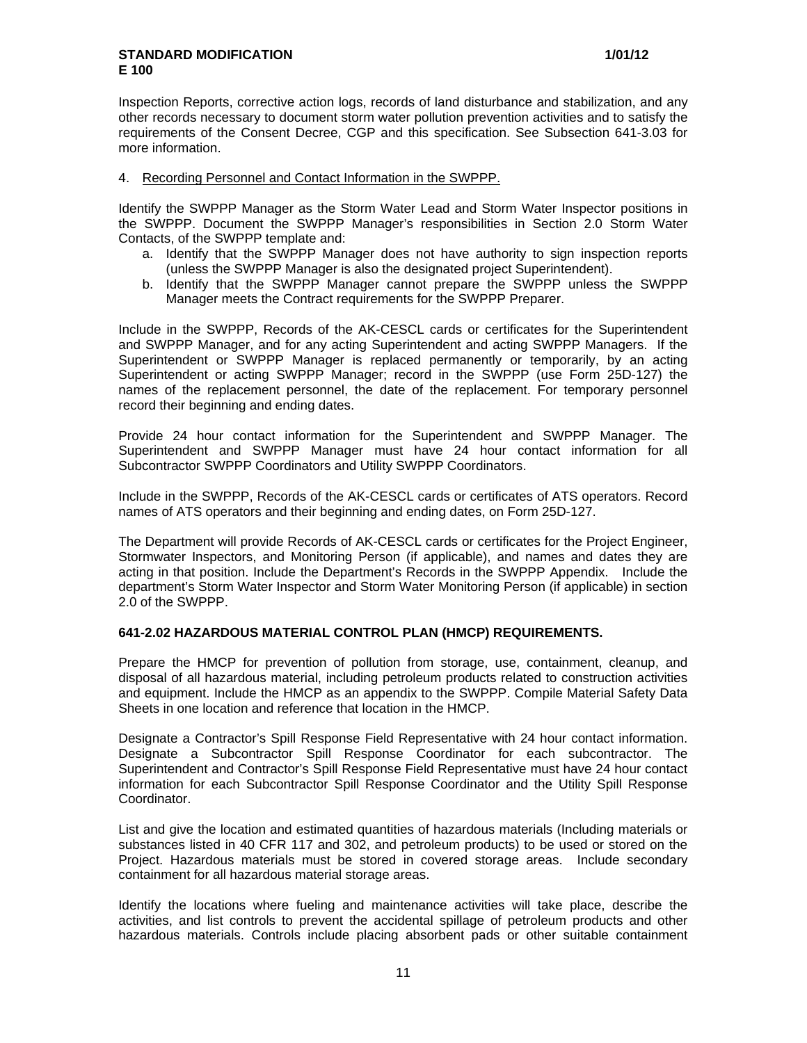Inspection Reports, corrective action logs, records of land disturbance and stabilization, and any other records necessary to document storm water pollution prevention activities and to satisfy the requirements of the Consent Decree, CGP and this specification. See Subsection 641-3.03 for more information.

### 4. Recording Personnel and Contact Information in the SWPPP.

Identify the SWPPP Manager as the Storm Water Lead and Storm Water Inspector positions in the SWPPP. Document the SWPPP Manager's responsibilities in Section 2.0 Storm Water Contacts, of the SWPPP template and:

- a. Identify that the SWPPP Manager does not have authority to sign inspection reports (unless the SWPPP Manager is also the designated project Superintendent).
- b. Identify that the SWPPP Manager cannot prepare the SWPPP unless the SWPPP Manager meets the Contract requirements for the SWPPP Preparer.

Include in the SWPPP, Records of the AK-CESCL cards or certificates for the Superintendent and SWPPP Manager, and for any acting Superintendent and acting SWPPP Managers. If the Superintendent or SWPPP Manager is replaced permanently or temporarily, by an acting Superintendent or acting SWPPP Manager; record in the SWPPP (use Form 25D-127) the names of the replacement personnel, the date of the replacement. For temporary personnel record their beginning and ending dates.

Provide 24 hour contact information for the Superintendent and SWPPP Manager. The Superintendent and SWPPP Manager must have 24 hour contact information for all Subcontractor SWPPP Coordinators and Utility SWPPP Coordinators.

Include in the SWPPP, Records of the AK-CESCL cards or certificates of ATS operators. Record names of ATS operators and their beginning and ending dates, on Form 25D-127.

The Department will provide Records of AK-CESCL cards or certificates for the Project Engineer, Stormwater Inspectors, and Monitoring Person (if applicable), and names and dates they are acting in that position. Include the Department's Records in the SWPPP Appendix. Include the department's Storm Water Inspector and Storm Water Monitoring Person (if applicable) in section 2.0 of the SWPPP.

### **641-2.02 HAZARDOUS MATERIAL CONTROL PLAN (HMCP) REQUIREMENTS.**

Prepare the HMCP for prevention of pollution from storage, use, containment, cleanup, and disposal of all hazardous material, including petroleum products related to construction activities and equipment. Include the HMCP as an appendix to the SWPPP. Compile Material Safety Data Sheets in one location and reference that location in the HMCP.

Designate a Contractor's Spill Response Field Representative with 24 hour contact information. Designate a Subcontractor Spill Response Coordinator for each subcontractor. The Superintendent and Contractor's Spill Response Field Representative must have 24 hour contact information for each Subcontractor Spill Response Coordinator and the Utility Spill Response Coordinator.

List and give the location and estimated quantities of hazardous materials (Including materials or substances listed in 40 CFR 117 and 302, and petroleum products) to be used or stored on the Project. Hazardous materials must be stored in covered storage areas. Include secondary containment for all hazardous material storage areas.

Identify the locations where fueling and maintenance activities will take place, describe the activities, and list controls to prevent the accidental spillage of petroleum products and other hazardous materials. Controls include placing absorbent pads or other suitable containment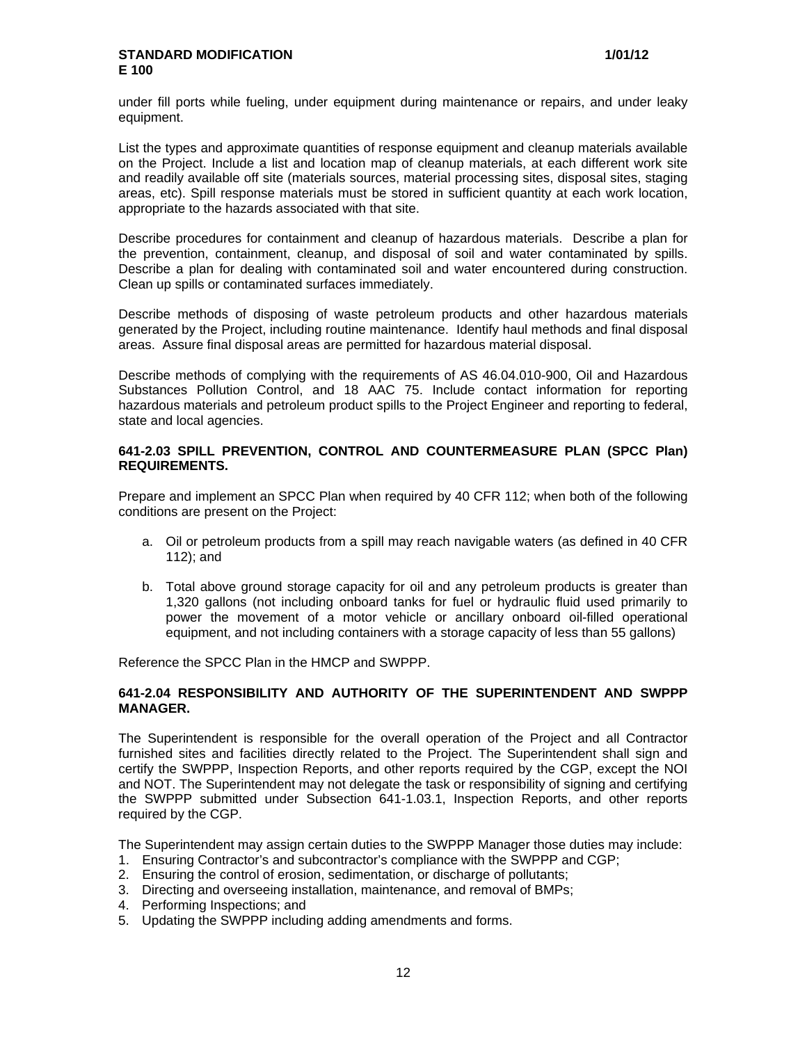under fill ports while fueling, under equipment during maintenance or repairs, and under leaky equipment.

List the types and approximate quantities of response equipment and cleanup materials available on the Project. Include a list and location map of cleanup materials, at each different work site and readily available off site (materials sources, material processing sites, disposal sites, staging areas, etc). Spill response materials must be stored in sufficient quantity at each work location, appropriate to the hazards associated with that site.

Describe procedures for containment and cleanup of hazardous materials. Describe a plan for the prevention, containment, cleanup, and disposal of soil and water contaminated by spills. Describe a plan for dealing with contaminated soil and water encountered during construction. Clean up spills or contaminated surfaces immediately.

Describe methods of disposing of waste petroleum products and other hazardous materials generated by the Project, including routine maintenance. Identify haul methods and final disposal areas. Assure final disposal areas are permitted for hazardous material disposal.

Describe methods of complying with the requirements of AS 46.04.010-900, Oil and Hazardous Substances Pollution Control, and 18 AAC 75. Include contact information for reporting hazardous materials and petroleum product spills to the Project Engineer and reporting to federal, state and local agencies.

### **641-2.03 SPILL PREVENTION, CONTROL AND COUNTERMEASURE PLAN (SPCC Plan) REQUIREMENTS.**

Prepare and implement an SPCC Plan when required by 40 CFR 112; when both of the following conditions are present on the Project:

- a. Oil or petroleum products from a spill may reach navigable waters (as defined in 40 CFR 112); and
- b. Total above ground storage capacity for oil and any petroleum products is greater than 1,320 gallons (not including onboard tanks for fuel or hydraulic fluid used primarily to power the movement of a motor vehicle or ancillary onboard oil-filled operational equipment, and not including containers with a storage capacity of less than 55 gallons)

Reference the SPCC Plan in the HMCP and SWPPP.

### **641-2.04 RESPONSIBILITY AND AUTHORITY OF THE SUPERINTENDENT AND SWPPP MANAGER.**

The Superintendent is responsible for the overall operation of the Project and all Contractor furnished sites and facilities directly related to the Project. The Superintendent shall sign and certify the SWPPP, Inspection Reports, and other reports required by the CGP, except the NOI and NOT. The Superintendent may not delegate the task or responsibility of signing and certifying the SWPPP submitted under Subsection 641-1.03.1, Inspection Reports, and other reports required by the CGP.

The Superintendent may assign certain duties to the SWPPP Manager those duties may include:

- 1. Ensuring Contractor's and subcontractor's compliance with the SWPPP and CGP;
- 2. Ensuring the control of erosion, sedimentation, or discharge of pollutants;
- 3. Directing and overseeing installation, maintenance, and removal of BMPs;
- 4. Performing Inspections; and
- 5. Updating the SWPPP including adding amendments and forms.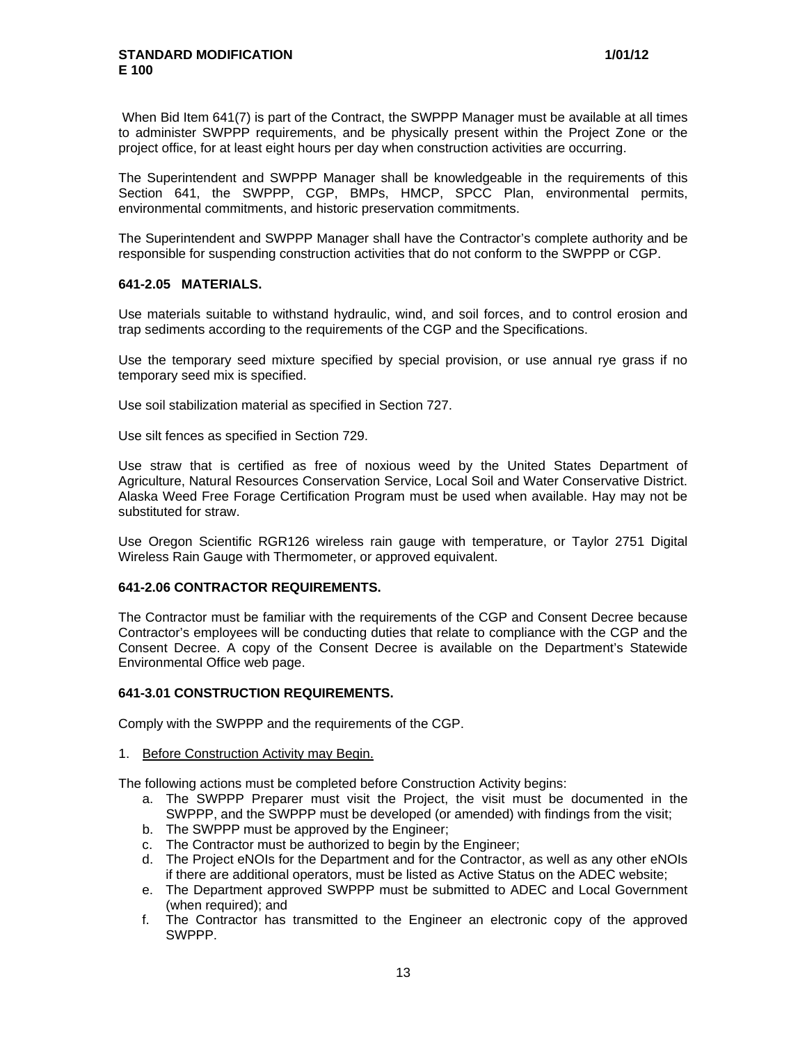When Bid Item 641(7) is part of the Contract, the SWPPP Manager must be available at all times to administer SWPPP requirements, and be physically present within the Project Zone or the project office, for at least eight hours per day when construction activities are occurring.

The Superintendent and SWPPP Manager shall be knowledgeable in the requirements of this Section 641, the SWPPP, CGP, BMPs, HMCP, SPCC Plan, environmental permits, environmental commitments, and historic preservation commitments.

The Superintendent and SWPPP Manager shall have the Contractor's complete authority and be responsible for suspending construction activities that do not conform to the SWPPP or CGP.

### **641-2.05 MATERIALS.**

Use materials suitable to withstand hydraulic, wind, and soil forces, and to control erosion and trap sediments according to the requirements of the CGP and the Specifications.

Use the temporary seed mixture specified by special provision, or use annual rye grass if no temporary seed mix is specified.

Use soil stabilization material as specified in Section 727.

Use silt fences as specified in Section 729.

Use straw that is certified as free of noxious weed by the United States Department of Agriculture, Natural Resources Conservation Service, Local Soil and Water Conservative District. Alaska Weed Free Forage Certification Program must be used when available. Hay may not be substituted for straw.

Use Oregon Scientific RGR126 wireless rain gauge with temperature, or Taylor 2751 Digital Wireless Rain Gauge with Thermometer, or approved equivalent.

# **641-2.06 CONTRACTOR REQUIREMENTS.**

The Contractor must be familiar with the requirements of the CGP and Consent Decree because Contractor's employees will be conducting duties that relate to compliance with the CGP and the Consent Decree. A copy of the Consent Decree is available on the Department's Statewide Environmental Office web page.

#### **641-3.01 CONSTRUCTION REQUIREMENTS.**

Comply with the SWPPP and the requirements of the CGP.

#### 1. Before Construction Activity may Begin.

The following actions must be completed before Construction Activity begins:

- a. The SWPPP Preparer must visit the Project, the visit must be documented in the SWPPP, and the SWPPP must be developed (or amended) with findings from the visit;
- b. The SWPPP must be approved by the Engineer;
- c. The Contractor must be authorized to begin by the Engineer;
- d. The Project eNOIs for the Department and for the Contractor, as well as any other eNOIs if there are additional operators, must be listed as Active Status on the ADEC website;
- e. The Department approved SWPPP must be submitted to ADEC and Local Government (when required); and
- f. The Contractor has transmitted to the Engineer an electronic copy of the approved SWPPP.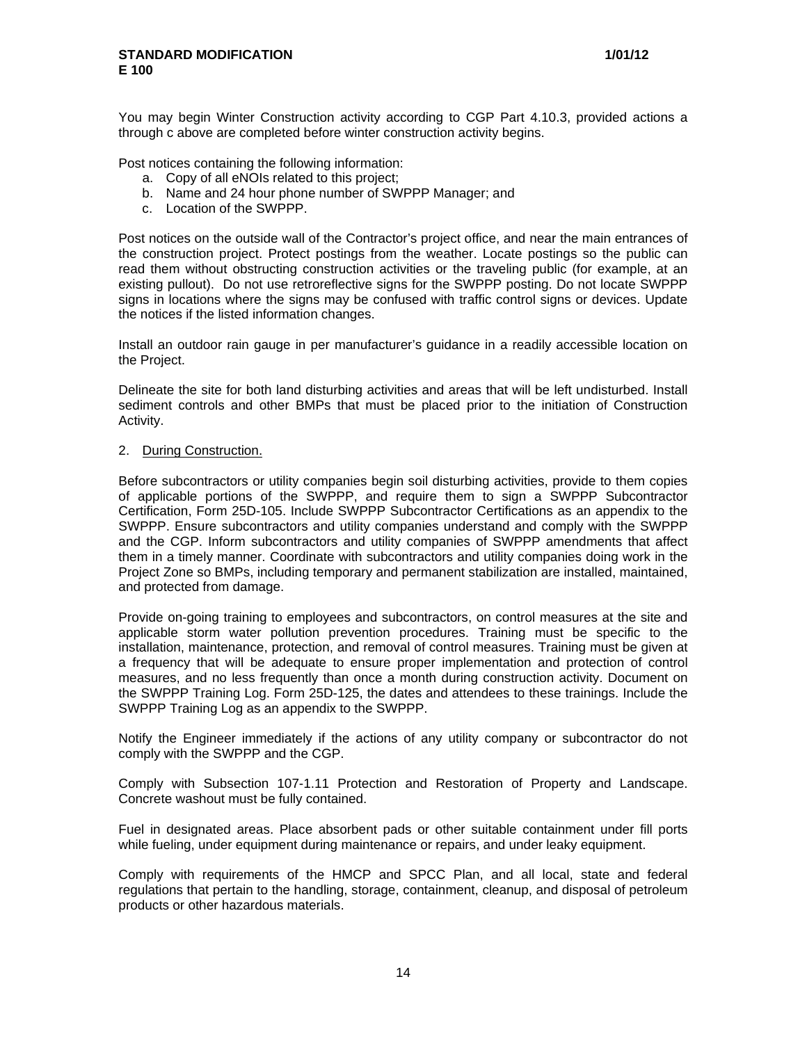You may begin Winter Construction activity according to CGP Part 4.10.3, provided actions a through c above are completed before winter construction activity begins.

Post notices containing the following information:

- a. Copy of all eNOIs related to this project;
- b. Name and 24 hour phone number of SWPPP Manager; and
- c. Location of the SWPPP.

Post notices on the outside wall of the Contractor's project office, and near the main entrances of the construction project. Protect postings from the weather. Locate postings so the public can read them without obstructing construction activities or the traveling public (for example, at an existing pullout). Do not use retroreflective signs for the SWPPP posting. Do not locate SWPPP signs in locations where the signs may be confused with traffic control signs or devices. Update the notices if the listed information changes.

Install an outdoor rain gauge in per manufacturer's guidance in a readily accessible location on the Project.

Delineate the site for both land disturbing activities and areas that will be left undisturbed. Install sediment controls and other BMPs that must be placed prior to the initiation of Construction Activity.

#### 2. During Construction.

Before subcontractors or utility companies begin soil disturbing activities, provide to them copies of applicable portions of the SWPPP, and require them to sign a SWPPP Subcontractor Certification, Form 25D-105. Include SWPPP Subcontractor Certifications as an appendix to the SWPPP. Ensure subcontractors and utility companies understand and comply with the SWPPP and the CGP. Inform subcontractors and utility companies of SWPPP amendments that affect them in a timely manner. Coordinate with subcontractors and utility companies doing work in the Project Zone so BMPs, including temporary and permanent stabilization are installed, maintained, and protected from damage.

Provide on-going training to employees and subcontractors, on control measures at the site and applicable storm water pollution prevention procedures. Training must be specific to the installation, maintenance, protection, and removal of control measures. Training must be given at a frequency that will be adequate to ensure proper implementation and protection of control measures, and no less frequently than once a month during construction activity. Document on the SWPPP Training Log. Form 25D-125, the dates and attendees to these trainings. Include the SWPPP Training Log as an appendix to the SWPPP.

Notify the Engineer immediately if the actions of any utility company or subcontractor do not comply with the SWPPP and the CGP.

Comply with Subsection 107-1.11 Protection and Restoration of Property and Landscape. Concrete washout must be fully contained.

Fuel in designated areas. Place absorbent pads or other suitable containment under fill ports while fueling, under equipment during maintenance or repairs, and under leaky equipment.

Comply with requirements of the HMCP and SPCC Plan, and all local, state and federal regulations that pertain to the handling, storage, containment, cleanup, and disposal of petroleum products or other hazardous materials.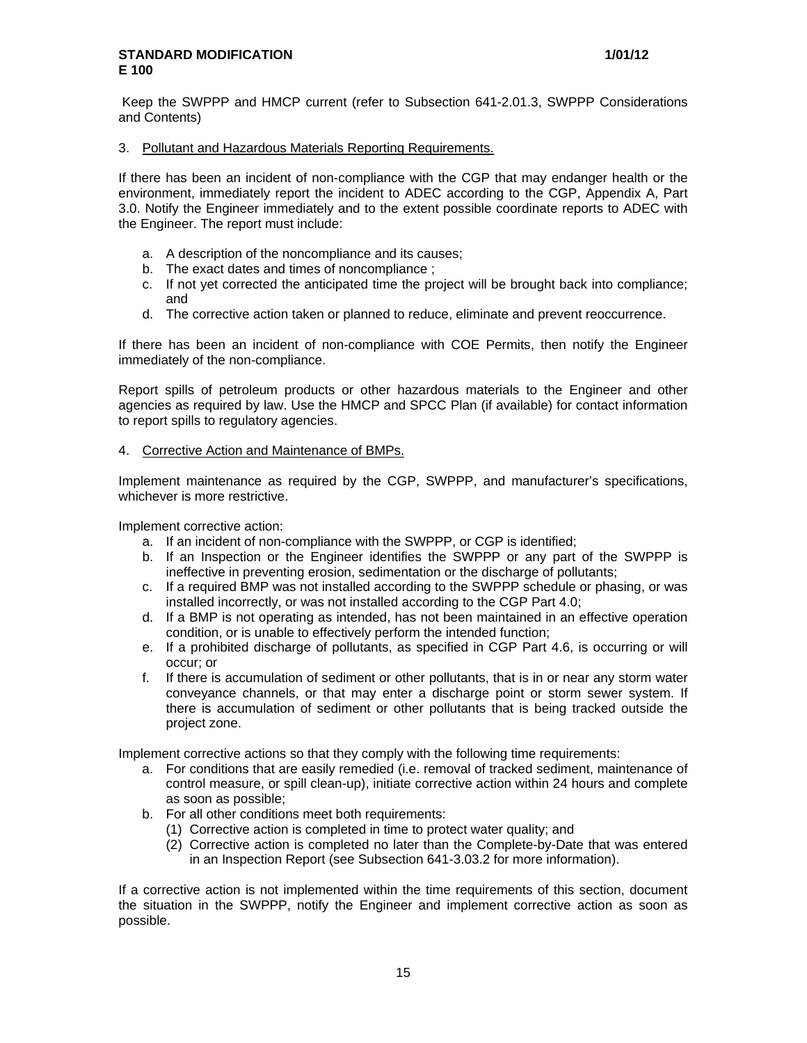Keep the SWPPP and HMCP current (refer to Subsection 641-2.01.3, SWPPP Considerations and Contents)

### 3. Pollutant and Hazardous Materials Reporting Requirements.

If there has been an incident of non-compliance with the CGP that may endanger health or the environment, immediately report the incident to ADEC according to the CGP, Appendix A, Part 3.0. Notify the Engineer immediately and to the extent possible coordinate reports to ADEC with the Engineer. The report must include:

- a. A description of the noncompliance and its causes;
- b. The exact dates and times of noncompliance ;
- c. If not yet corrected the anticipated time the project will be brought back into compliance; and
- d. The corrective action taken or planned to reduce, eliminate and prevent reoccurrence.

If there has been an incident of non-compliance with COE Permits, then notify the Engineer immediately of the non-compliance.

Report spills of petroleum products or other hazardous materials to the Engineer and other agencies as required by law. Use the HMCP and SPCC Plan (if available) for contact information to report spills to regulatory agencies.

### 4. Corrective Action and Maintenance of BMPs.

Implement maintenance as required by the CGP, SWPPP, and manufacturer's specifications, whichever is more restrictive.

Implement corrective action:

- a. If an incident of non-compliance with the SWPPP, or CGP is identified;
- b. If an Inspection or the Engineer identifies the SWPPP or any part of the SWPPP is ineffective in preventing erosion, sedimentation or the discharge of pollutants;
- c. If a required BMP was not installed according to the SWPPP schedule or phasing, or was installed incorrectly, or was not installed according to the CGP Part 4.0;
- d. If a BMP is not operating as intended, has not been maintained in an effective operation condition, or is unable to effectively perform the intended function;
- e. If a prohibited discharge of pollutants, as specified in CGP Part 4.6, is occurring or will occur; or
- f. If there is accumulation of sediment or other pollutants, that is in or near any storm water conveyance channels, or that may enter a discharge point or storm sewer system. If there is accumulation of sediment or other pollutants that is being tracked outside the project zone.

Implement corrective actions so that they comply with the following time requirements:

- a. For conditions that are easily remedied (i.e. removal of tracked sediment, maintenance of control measure, or spill clean-up), initiate corrective action within 24 hours and complete as soon as possible;
- b. For all other conditions meet both requirements:
	- (1) Corrective action is completed in time to protect water quality; and
	- (2) Corrective action is completed no later than the Complete-by-Date that was entered in an Inspection Report (see Subsection 641-3.03.2 for more information).

If a corrective action is not implemented within the time requirements of this section, document the situation in the SWPPP, notify the Engineer and implement corrective action as soon as possible.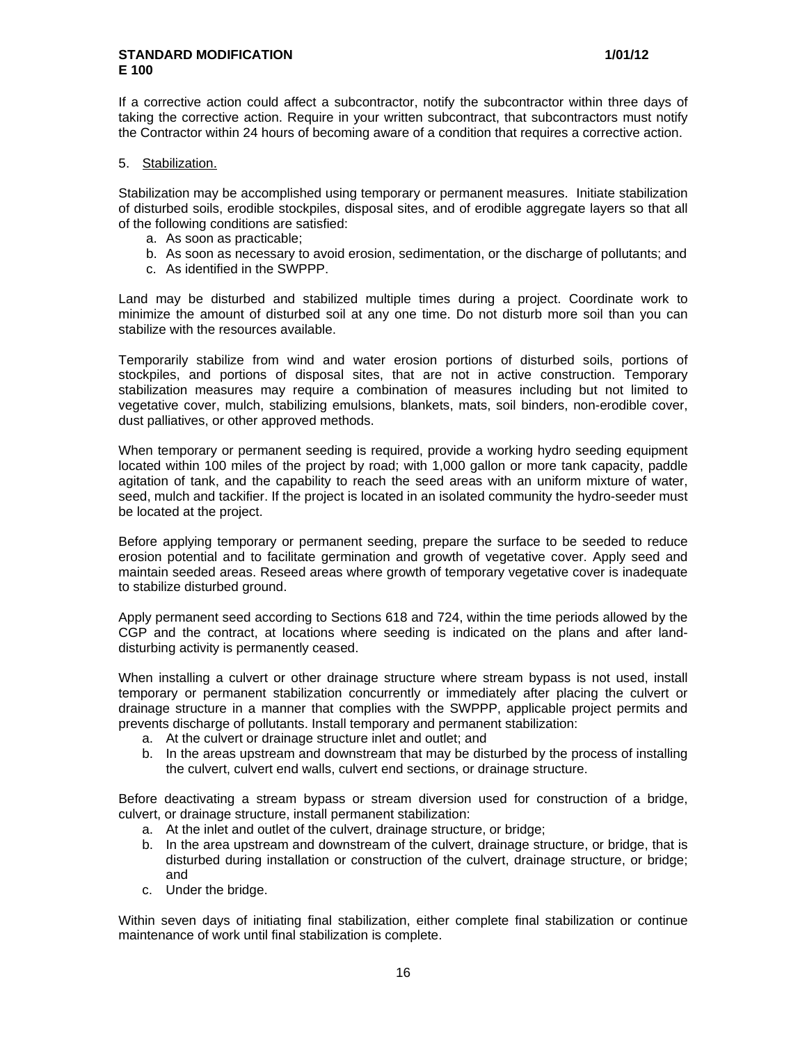If a corrective action could affect a subcontractor, notify the subcontractor within three days of taking the corrective action. Require in your written subcontract, that subcontractors must notify the Contractor within 24 hours of becoming aware of a condition that requires a corrective action.

### 5. Stabilization.

Stabilization may be accomplished using temporary or permanent measures. Initiate stabilization of disturbed soils, erodible stockpiles, disposal sites, and of erodible aggregate layers so that all of the following conditions are satisfied:

- a. As soon as practicable;
- b. As soon as necessary to avoid erosion, sedimentation, or the discharge of pollutants; and
- c. As identified in the SWPPP.

Land may be disturbed and stabilized multiple times during a project. Coordinate work to minimize the amount of disturbed soil at any one time. Do not disturb more soil than you can stabilize with the resources available.

Temporarily stabilize from wind and water erosion portions of disturbed soils, portions of stockpiles, and portions of disposal sites, that are not in active construction. Temporary stabilization measures may require a combination of measures including but not limited to vegetative cover, mulch, stabilizing emulsions, blankets, mats, soil binders, non-erodible cover, dust palliatives, or other approved methods.

When temporary or permanent seeding is required, provide a working hydro seeding equipment located within 100 miles of the project by road; with 1,000 gallon or more tank capacity, paddle agitation of tank, and the capability to reach the seed areas with an uniform mixture of water, seed, mulch and tackifier. If the project is located in an isolated community the hydro-seeder must be located at the project.

Before applying temporary or permanent seeding, prepare the surface to be seeded to reduce erosion potential and to facilitate germination and growth of vegetative cover. Apply seed and maintain seeded areas. Reseed areas where growth of temporary vegetative cover is inadequate to stabilize disturbed ground.

Apply permanent seed according to Sections 618 and 724, within the time periods allowed by the CGP and the contract, at locations where seeding is indicated on the plans and after landdisturbing activity is permanently ceased.

When installing a culvert or other drainage structure where stream bypass is not used, install temporary or permanent stabilization concurrently or immediately after placing the culvert or drainage structure in a manner that complies with the SWPPP, applicable project permits and prevents discharge of pollutants. Install temporary and permanent stabilization:

- a. At the culvert or drainage structure inlet and outlet; and
- b. In the areas upstream and downstream that may be disturbed by the process of installing the culvert, culvert end walls, culvert end sections, or drainage structure.

Before deactivating a stream bypass or stream diversion used for construction of a bridge, culvert, or drainage structure, install permanent stabilization:

- a. At the inlet and outlet of the culvert, drainage structure, or bridge;
- b. In the area upstream and downstream of the culvert, drainage structure, or bridge, that is disturbed during installation or construction of the culvert, drainage structure, or bridge; and
- c. Under the bridge.

Within seven days of initiating final stabilization, either complete final stabilization or continue maintenance of work until final stabilization is complete.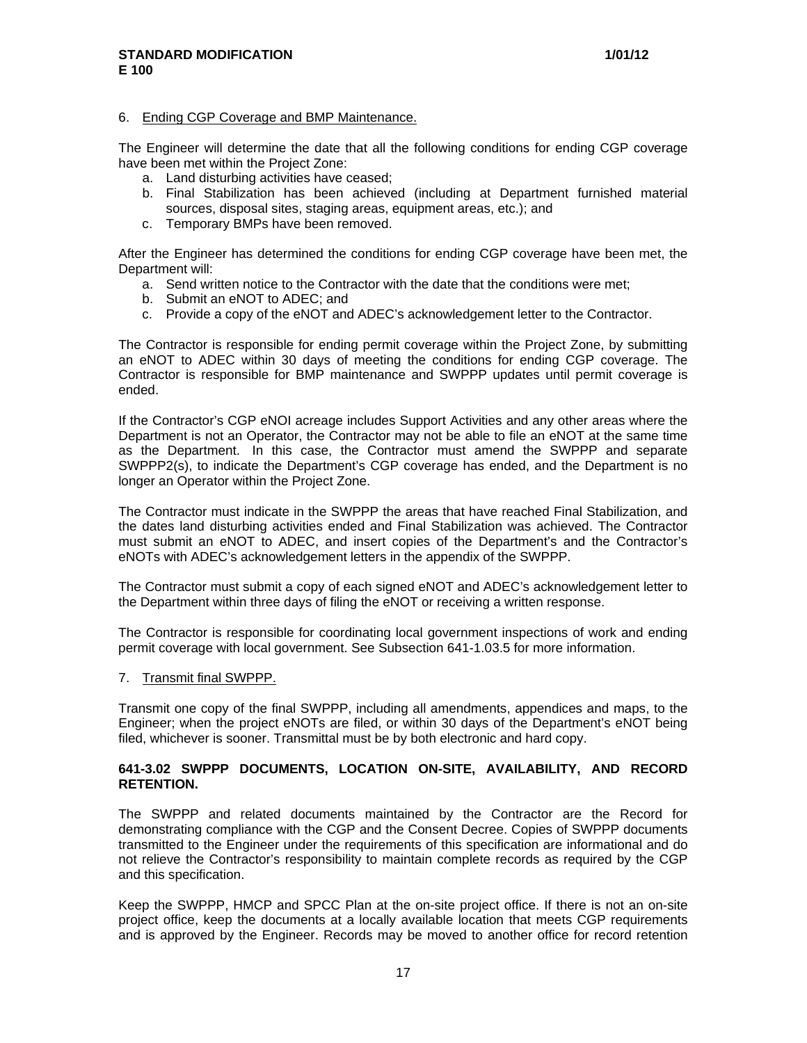#### 6. Ending CGP Coverage and BMP Maintenance.

The Engineer will determine the date that all the following conditions for ending CGP coverage have been met within the Project Zone:

- a. Land disturbing activities have ceased;
- b. Final Stabilization has been achieved (including at Department furnished material sources, disposal sites, staging areas, equipment areas, etc.); and
- c. Temporary BMPs have been removed.

After the Engineer has determined the conditions for ending CGP coverage have been met, the Department will:

- a. Send written notice to the Contractor with the date that the conditions were met;
- b. Submit an eNOT to ADEC; and
- c. Provide a copy of the eNOT and ADEC's acknowledgement letter to the Contractor.

The Contractor is responsible for ending permit coverage within the Project Zone, by submitting an eNOT to ADEC within 30 days of meeting the conditions for ending CGP coverage. The Contractor is responsible for BMP maintenance and SWPPP updates until permit coverage is ended.

If the Contractor's CGP eNOI acreage includes Support Activities and any other areas where the Department is not an Operator, the Contractor may not be able to file an eNOT at the same time as the Department. In this case, the Contractor must amend the SWPPP and separate SWPPP2(s), to indicate the Department's CGP coverage has ended, and the Department is no longer an Operator within the Project Zone.

The Contractor must indicate in the SWPPP the areas that have reached Final Stabilization, and the dates land disturbing activities ended and Final Stabilization was achieved. The Contractor must submit an eNOT to ADEC, and insert copies of the Department's and the Contractor's eNOTs with ADEC's acknowledgement letters in the appendix of the SWPPP.

The Contractor must submit a copy of each signed eNOT and ADEC's acknowledgement letter to the Department within three days of filing the eNOT or receiving a written response.

The Contractor is responsible for coordinating local government inspections of work and ending permit coverage with local government. See Subsection 641-1.03.5 for more information.

7. Transmit final SWPPP.

Transmit one copy of the final SWPPP, including all amendments, appendices and maps, to the Engineer; when the project eNOTs are filed, or within 30 days of the Department's eNOT being filed, whichever is sooner. Transmittal must be by both electronic and hard copy.

### **641-3.02 SWPPP DOCUMENTS, LOCATION ON-SITE, AVAILABILITY, AND RECORD RETENTION.**

The SWPPP and related documents maintained by the Contractor are the Record for demonstrating compliance with the CGP and the Consent Decree. Copies of SWPPP documents transmitted to the Engineer under the requirements of this specification are informational and do not relieve the Contractor's responsibility to maintain complete records as required by the CGP and this specification.

Keep the SWPPP, HMCP and SPCC Plan at the on-site project office. If there is not an on-site project office, keep the documents at a locally available location that meets CGP requirements and is approved by the Engineer. Records may be moved to another office for record retention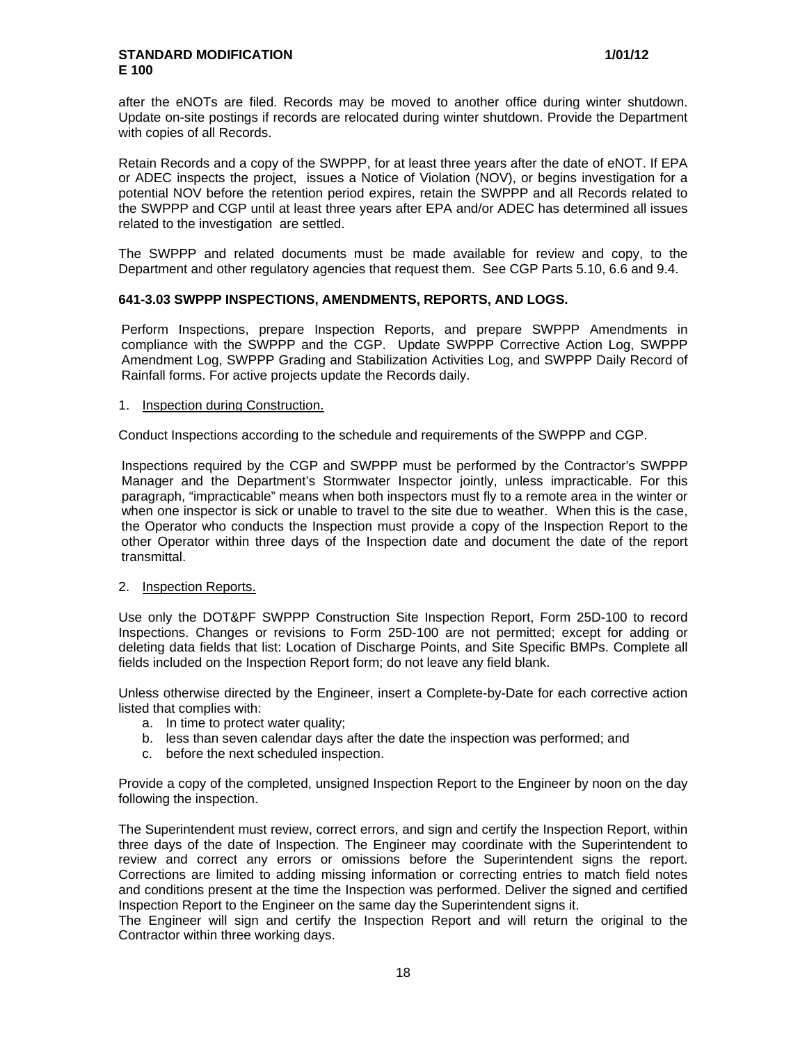after the eNOTs are filed. Records may be moved to another office during winter shutdown. Update on-site postings if records are relocated during winter shutdown. Provide the Department with copies of all Records.

Retain Records and a copy of the SWPPP, for at least three years after the date of eNOT. If EPA or ADEC inspects the project, issues a Notice of Violation (NOV), or begins investigation for a potential NOV before the retention period expires, retain the SWPPP and all Records related to the SWPPP and CGP until at least three years after EPA and/or ADEC has determined all issues related to the investigation are settled.

The SWPPP and related documents must be made available for review and copy, to the Department and other regulatory agencies that request them. See CGP Parts 5.10, 6.6 and 9.4.

### **641-3.03 SWPPP INSPECTIONS, AMENDMENTS, REPORTS, AND LOGS.**

Perform Inspections, prepare Inspection Reports, and prepare SWPPP Amendments in compliance with the SWPPP and the CGP. Update SWPPP Corrective Action Log, SWPPP Amendment Log, SWPPP Grading and Stabilization Activities Log, and SWPPP Daily Record of Rainfall forms. For active projects update the Records daily.

### 1. Inspection during Construction.

Conduct Inspections according to the schedule and requirements of the SWPPP and CGP.

Inspections required by the CGP and SWPPP must be performed by the Contractor's SWPPP Manager and the Department's Stormwater Inspector jointly, unless impracticable. For this paragraph, "impracticable" means when both inspectors must fly to a remote area in the winter or when one inspector is sick or unable to travel to the site due to weather. When this is the case, the Operator who conducts the Inspection must provide a copy of the Inspection Report to the other Operator within three days of the Inspection date and document the date of the report transmittal.

### 2. Inspection Reports.

Use only the DOT&PF SWPPP Construction Site Inspection Report, Form 25D-100 to record Inspections. Changes or revisions to Form 25D-100 are not permitted; except for adding or deleting data fields that list: Location of Discharge Points, and Site Specific BMPs. Complete all fields included on the Inspection Report form; do not leave any field blank.

Unless otherwise directed by the Engineer, insert a Complete-by-Date for each corrective action listed that complies with:

- a. In time to protect water quality;
- b. less than seven calendar days after the date the inspection was performed; and
- c. before the next scheduled inspection.

Provide a copy of the completed, unsigned Inspection Report to the Engineer by noon on the day following the inspection.

The Superintendent must review, correct errors, and sign and certify the Inspection Report, within three days of the date of Inspection. The Engineer may coordinate with the Superintendent to review and correct any errors or omissions before the Superintendent signs the report. Corrections are limited to adding missing information or correcting entries to match field notes and conditions present at the time the Inspection was performed. Deliver the signed and certified Inspection Report to the Engineer on the same day the Superintendent signs it.

The Engineer will sign and certify the Inspection Report and will return the original to the Contractor within three working days.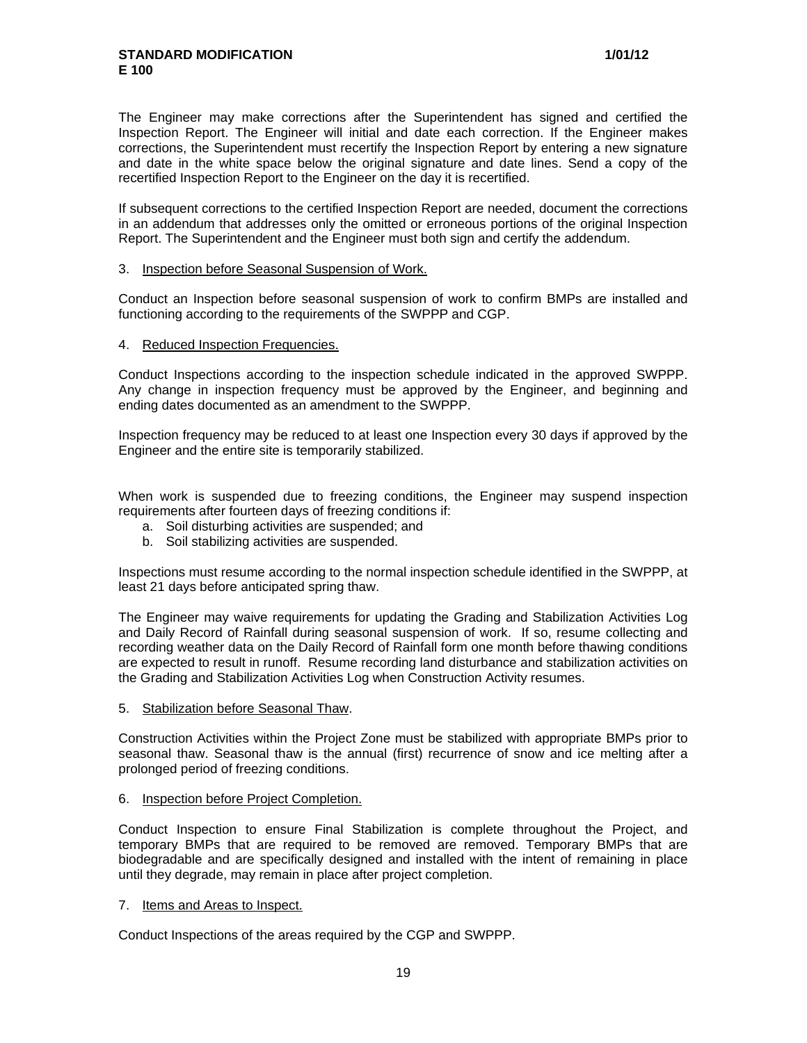The Engineer may make corrections after the Superintendent has signed and certified the Inspection Report. The Engineer will initial and date each correction. If the Engineer makes corrections, the Superintendent must recertify the Inspection Report by entering a new signature and date in the white space below the original signature and date lines. Send a copy of the recertified Inspection Report to the Engineer on the day it is recertified.

If subsequent corrections to the certified Inspection Report are needed, document the corrections in an addendum that addresses only the omitted or erroneous portions of the original Inspection Report. The Superintendent and the Engineer must both sign and certify the addendum.

### 3. Inspection before Seasonal Suspension of Work.

Conduct an Inspection before seasonal suspension of work to confirm BMPs are installed and functioning according to the requirements of the SWPPP and CGP.

### 4. Reduced Inspection Frequencies.

Conduct Inspections according to the inspection schedule indicated in the approved SWPPP. Any change in inspection frequency must be approved by the Engineer, and beginning and ending dates documented as an amendment to the SWPPP.

Inspection frequency may be reduced to at least one Inspection every 30 days if approved by the Engineer and the entire site is temporarily stabilized.

When work is suspended due to freezing conditions, the Engineer may suspend inspection requirements after fourteen days of freezing conditions if:

- a. Soil disturbing activities are suspended; and
- b. Soil stabilizing activities are suspended.

Inspections must resume according to the normal inspection schedule identified in the SWPPP, at least 21 days before anticipated spring thaw.

The Engineer may waive requirements for updating the Grading and Stabilization Activities Log and Daily Record of Rainfall during seasonal suspension of work. If so, resume collecting and recording weather data on the Daily Record of Rainfall form one month before thawing conditions are expected to result in runoff. Resume recording land disturbance and stabilization activities on the Grading and Stabilization Activities Log when Construction Activity resumes.

5. Stabilization before Seasonal Thaw.

Construction Activities within the Project Zone must be stabilized with appropriate BMPs prior to seasonal thaw. Seasonal thaw is the annual (first) recurrence of snow and ice melting after a prolonged period of freezing conditions.

### 6. Inspection before Project Completion.

Conduct Inspection to ensure Final Stabilization is complete throughout the Project, and temporary BMPs that are required to be removed are removed. Temporary BMPs that are biodegradable and are specifically designed and installed with the intent of remaining in place until they degrade, may remain in place after project completion.

### 7. Items and Areas to Inspect.

Conduct Inspections of the areas required by the CGP and SWPPP.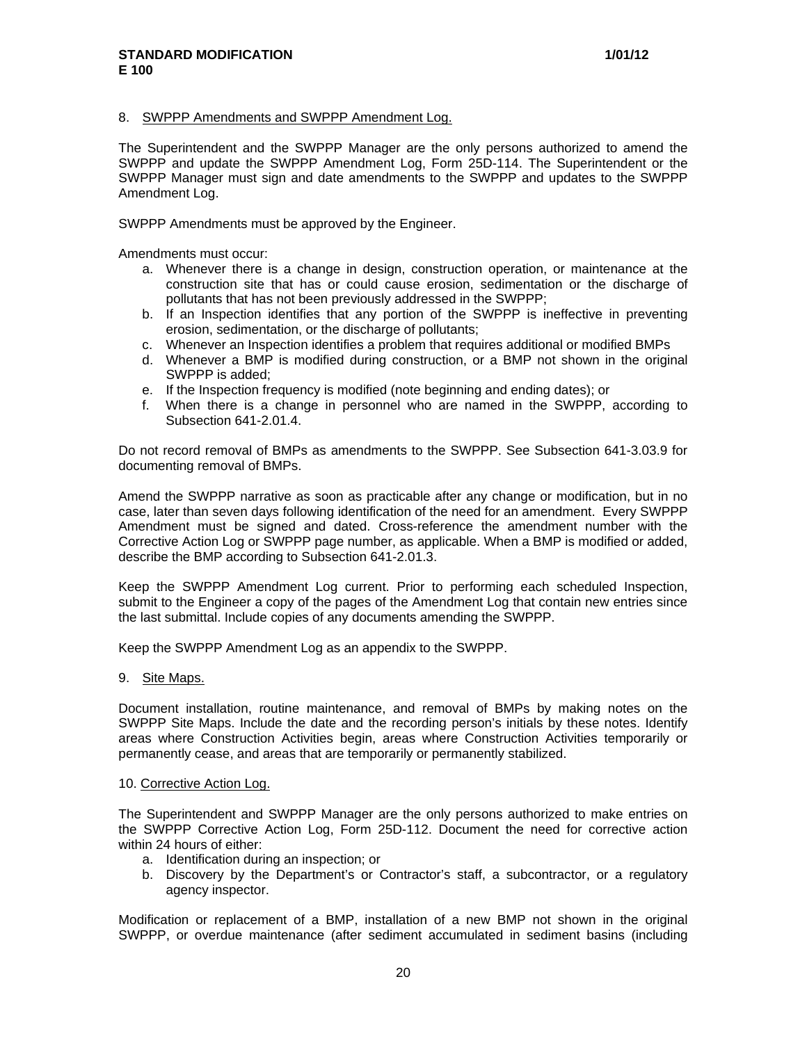#### 8. SWPPP Amendments and SWPPP Amendment Log.

The Superintendent and the SWPPP Manager are the only persons authorized to amend the SWPPP and update the SWPPP Amendment Log, Form 25D-114. The Superintendent or the SWPPP Manager must sign and date amendments to the SWPPP and updates to the SWPPP Amendment Log.

SWPPP Amendments must be approved by the Engineer.

Amendments must occur:

- a. Whenever there is a change in design, construction operation, or maintenance at the construction site that has or could cause erosion, sedimentation or the discharge of pollutants that has not been previously addressed in the SWPPP;
- b. If an Inspection identifies that any portion of the SWPPP is ineffective in preventing erosion, sedimentation, or the discharge of pollutants;
- c. Whenever an Inspection identifies a problem that requires additional or modified BMPs
- d. Whenever a BMP is modified during construction, or a BMP not shown in the original SWPPP is added;
- e. If the Inspection frequency is modified (note beginning and ending dates); or
- f. When there is a change in personnel who are named in the SWPPP, according to Subsection 641-2.01.4.

Do not record removal of BMPs as amendments to the SWPPP. See Subsection 641-3.03.9 for documenting removal of BMPs.

Amend the SWPPP narrative as soon as practicable after any change or modification, but in no case, later than seven days following identification of the need for an amendment. Every SWPPP Amendment must be signed and dated. Cross-reference the amendment number with the Corrective Action Log or SWPPP page number, as applicable. When a BMP is modified or added, describe the BMP according to Subsection 641-2.01.3.

Keep the SWPPP Amendment Log current. Prior to performing each scheduled Inspection, submit to the Engineer a copy of the pages of the Amendment Log that contain new entries since the last submittal. Include copies of any documents amending the SWPPP.

Keep the SWPPP Amendment Log as an appendix to the SWPPP.

#### 9. Site Maps.

Document installation, routine maintenance, and removal of BMPs by making notes on the SWPPP Site Maps. Include the date and the recording person's initials by these notes. Identify areas where Construction Activities begin, areas where Construction Activities temporarily or permanently cease, and areas that are temporarily or permanently stabilized.

#### 10. Corrective Action Log.

The Superintendent and SWPPP Manager are the only persons authorized to make entries on the SWPPP Corrective Action Log, Form 25D-112. Document the need for corrective action within 24 hours of either:

- a. Identification during an inspection; or
- b. Discovery by the Department's or Contractor's staff, a subcontractor, or a regulatory agency inspector.

Modification or replacement of a BMP, installation of a new BMP not shown in the original SWPPP, or overdue maintenance (after sediment accumulated in sediment basins (including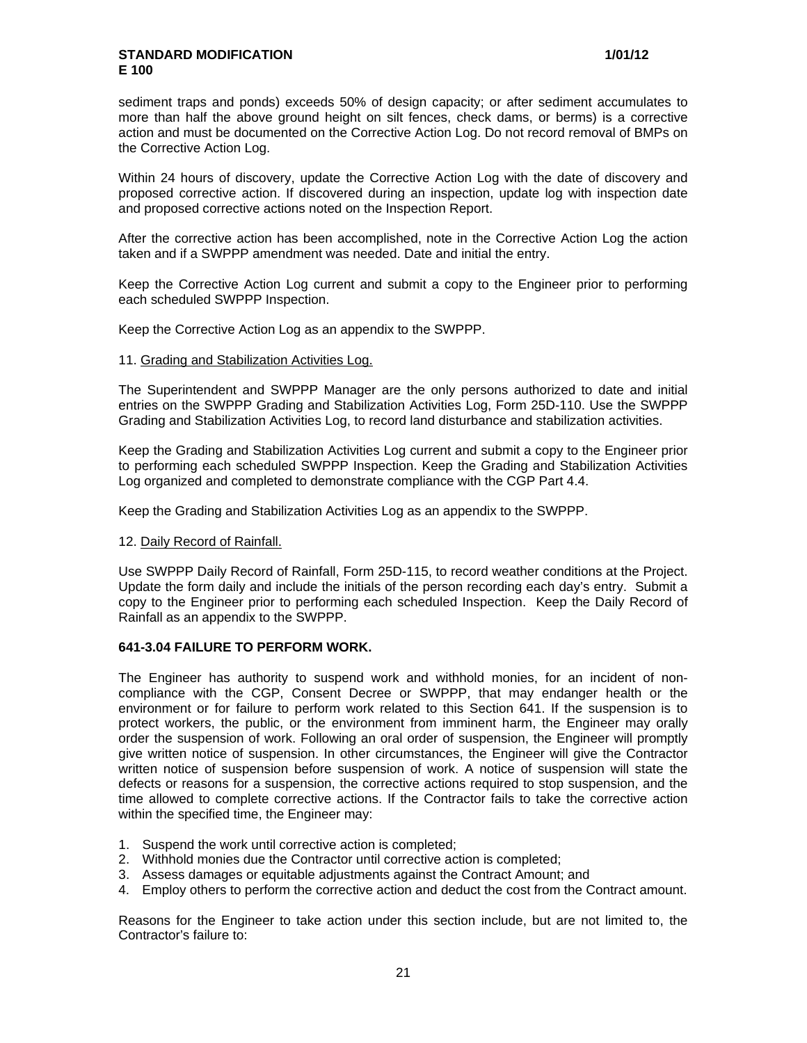sediment traps and ponds) exceeds 50% of design capacity; or after sediment accumulates to more than half the above ground height on silt fences, check dams, or berms) is a corrective action and must be documented on the Corrective Action Log. Do not record removal of BMPs on the Corrective Action Log.

Within 24 hours of discovery, update the Corrective Action Log with the date of discovery and proposed corrective action. If discovered during an inspection, update log with inspection date and proposed corrective actions noted on the Inspection Report.

After the corrective action has been accomplished, note in the Corrective Action Log the action taken and if a SWPPP amendment was needed. Date and initial the entry.

Keep the Corrective Action Log current and submit a copy to the Engineer prior to performing each scheduled SWPPP Inspection.

Keep the Corrective Action Log as an appendix to the SWPPP.

### 11. Grading and Stabilization Activities Log.

The Superintendent and SWPPP Manager are the only persons authorized to date and initial entries on the SWPPP Grading and Stabilization Activities Log, Form 25D-110. Use the SWPPP Grading and Stabilization Activities Log, to record land disturbance and stabilization activities.

Keep the Grading and Stabilization Activities Log current and submit a copy to the Engineer prior to performing each scheduled SWPPP Inspection. Keep the Grading and Stabilization Activities Log organized and completed to demonstrate compliance with the CGP Part 4.4.

Keep the Grading and Stabilization Activities Log as an appendix to the SWPPP.

### 12. Daily Record of Rainfall.

Use SWPPP Daily Record of Rainfall, Form 25D-115, to record weather conditions at the Project. Update the form daily and include the initials of the person recording each day's entry. Submit a copy to the Engineer prior to performing each scheduled Inspection. Keep the Daily Record of Rainfall as an appendix to the SWPPP.

### **641-3.04 FAILURE TO PERFORM WORK.**

The Engineer has authority to suspend work and withhold monies, for an incident of noncompliance with the CGP, Consent Decree or SWPPP, that may endanger health or the environment or for failure to perform work related to this Section 641. If the suspension is to protect workers, the public, or the environment from imminent harm, the Engineer may orally order the suspension of work. Following an oral order of suspension, the Engineer will promptly give written notice of suspension. In other circumstances, the Engineer will give the Contractor written notice of suspension before suspension of work. A notice of suspension will state the defects or reasons for a suspension, the corrective actions required to stop suspension, and the time allowed to complete corrective actions. If the Contractor fails to take the corrective action within the specified time, the Engineer may:

- 1. Suspend the work until corrective action is completed;
- 2. Withhold monies due the Contractor until corrective action is completed;
- 3. Assess damages or equitable adjustments against the Contract Amount; and
- 4. Employ others to perform the corrective action and deduct the cost from the Contract amount.

Reasons for the Engineer to take action under this section include, but are not limited to, the Contractor's failure to: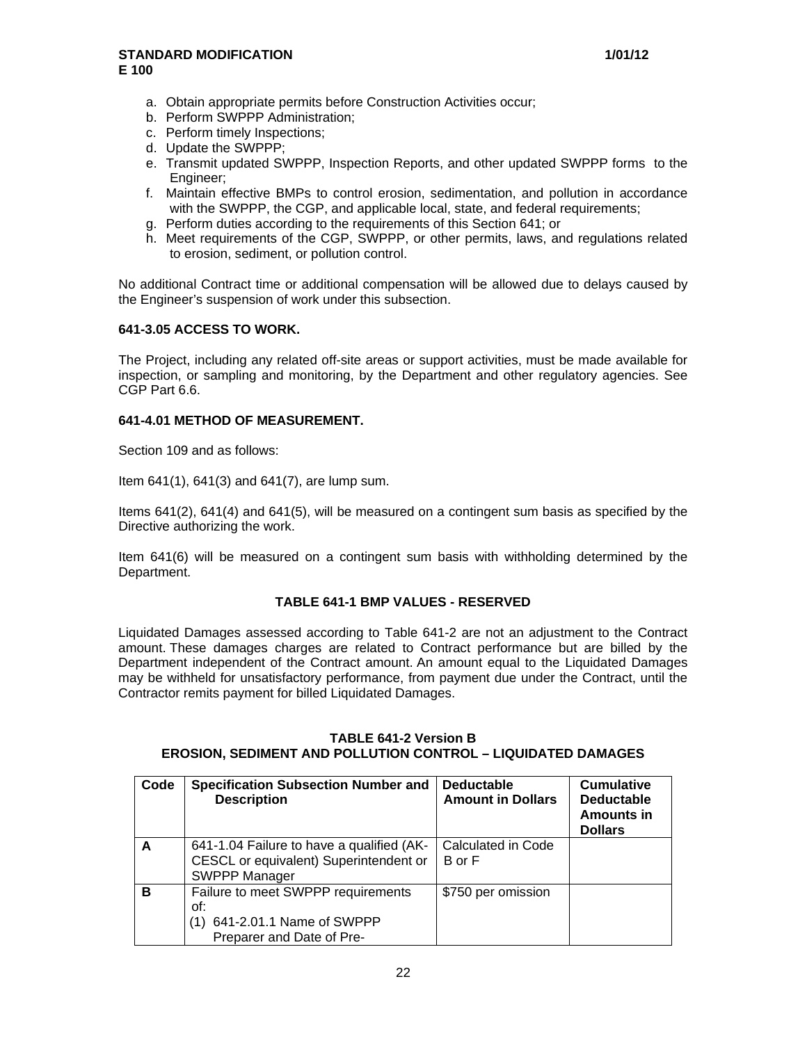- a. Obtain appropriate permits before Construction Activities occur;
- b. Perform SWPPP Administration;
- c. Perform timely Inspections;
- d. Update the SWPPP;
- e. Transmit updated SWPPP, Inspection Reports, and other updated SWPPP forms to the Engineer;
- f. Maintain effective BMPs to control erosion, sedimentation, and pollution in accordance with the SWPPP, the CGP, and applicable local, state, and federal requirements;
- g. Perform duties according to the requirements of this Section 641; or
- h. Meet requirements of the CGP, SWPPP, or other permits, laws, and regulations related to erosion, sediment, or pollution control.

No additional Contract time or additional compensation will be allowed due to delays caused by the Engineer's suspension of work under this subsection.

# **641-3.05 ACCESS TO WORK.**

The Project, including any related off-site areas or support activities, must be made available for inspection, or sampling and monitoring, by the Department and other regulatory agencies. See CGP Part 6.6.

# **641-4.01 METHOD OF MEASUREMENT.**

Section 109 and as follows:

Item 641(1), 641(3) and 641(7), are lump sum.

Items 641(2), 641(4) and 641(5), will be measured on a contingent sum basis as specified by the Directive authorizing the work.

Item 641(6) will be measured on a contingent sum basis with withholding determined by the Department.

### **TABLE 641-1 BMP VALUES - RESERVED**

Liquidated Damages assessed according to Table 641-2 are not an adjustment to the Contract amount. These damages charges are related to Contract performance but are billed by the Department independent of the Contract amount. An amount equal to the Liquidated Damages may be withheld for unsatisfactory performance, from payment due under the Contract, until the Contractor remits payment for billed Liquidated Damages.

### **TABLE 641-2 Version B EROSION, SEDIMENT AND POLLUTION CONTROL – LIQUIDATED DAMAGES**

| Code | <b>Specification Subsection Number and</b><br><b>Description</b>                    | <b>Deductable</b><br><b>Amount in Dollars</b> | <b>Cumulative</b><br><b>Deductable</b><br>Amounts in<br><b>Dollars</b> |
|------|-------------------------------------------------------------------------------------|-----------------------------------------------|------------------------------------------------------------------------|
| A    | 641-1.04 Failure to have a qualified (AK-<br>CESCL or equivalent) Superintendent or | Calculated in Code<br>B or F                  |                                                                        |
|      | <b>SWPPP Manager</b>                                                                |                                               |                                                                        |
| B    | Failure to meet SWPPP requirements<br>of:<br>641-2.01.1 Name of SWPPP<br>(1)        | \$750 per omission                            |                                                                        |
|      | Preparer and Date of Pre-                                                           |                                               |                                                                        |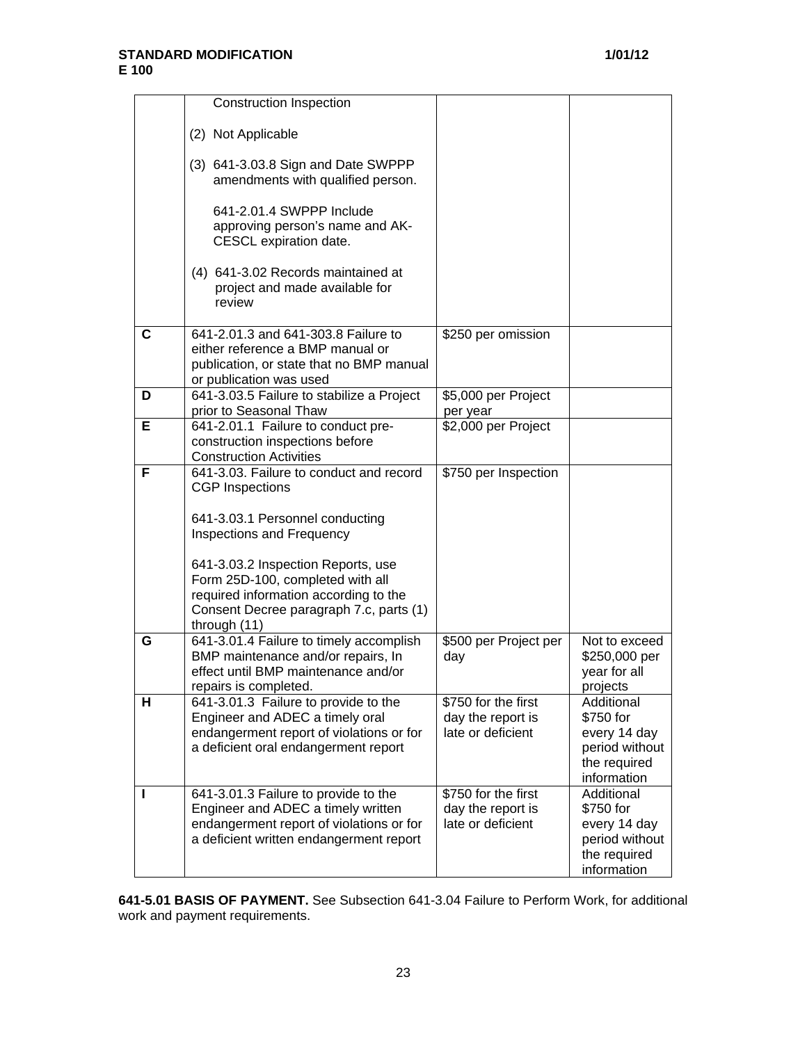|   | <b>Construction Inspection</b>                                                                                                                                             |                                                               |                                                                                          |
|---|----------------------------------------------------------------------------------------------------------------------------------------------------------------------------|---------------------------------------------------------------|------------------------------------------------------------------------------------------|
|   | (2) Not Applicable                                                                                                                                                         |                                                               |                                                                                          |
|   | (3) 641-3.03.8 Sign and Date SWPPP<br>amendments with qualified person.                                                                                                    |                                                               |                                                                                          |
|   | 641-2.01.4 SWPPP Include<br>approving person's name and AK-<br>CESCL expiration date.                                                                                      |                                                               |                                                                                          |
|   | (4) 641-3.02 Records maintained at<br>project and made available for<br>review                                                                                             |                                                               |                                                                                          |
| C | 641-2.01.3 and 641-303.8 Failure to<br>either reference a BMP manual or<br>publication, or state that no BMP manual<br>or publication was used                             | \$250 per omission                                            |                                                                                          |
| D | 641-3.03.5 Failure to stabilize a Project<br>prior to Seasonal Thaw                                                                                                        | \$5,000 per Project                                           |                                                                                          |
| Е | 641-2.01.1 Failure to conduct pre-<br>construction inspections before<br><b>Construction Activities</b>                                                                    | per year<br>\$2,000 per Project                               |                                                                                          |
| F | 641-3.03. Failure to conduct and record<br><b>CGP</b> Inspections<br>641-3.03.1 Personnel conducting<br>Inspections and Frequency                                          | \$750 per Inspection                                          |                                                                                          |
|   | 641-3.03.2 Inspection Reports, use<br>Form 25D-100, completed with all<br>required information according to the<br>Consent Decree paragraph 7.c, parts (1)<br>through (11) |                                                               |                                                                                          |
| G | 641-3.01.4 Failure to timely accomplish<br>BMP maintenance and/or repairs, In<br>effect until BMP maintenance and/or<br>repairs is completed.                              | \$500 per Project per<br>day                                  | Not to exceed<br>\$250,000 per<br>year for all<br>projects                               |
| н | 641-3.01.3 Failure to provide to the<br>Engineer and ADEC a timely oral<br>endangerment report of violations or for<br>a deficient oral endangerment report                | \$750 for the first<br>day the report is<br>late or deficient | Additional<br>\$750 for<br>every 14 day<br>period without<br>the required<br>information |
|   | 641-3.01.3 Failure to provide to the<br>Engineer and ADEC a timely written<br>endangerment report of violations or for<br>a deficient written endangerment report          | \$750 for the first<br>day the report is<br>late or deficient | Additional<br>\$750 for<br>every 14 day<br>period without<br>the required<br>information |

**641-5.01 BASIS OF PAYMENT.** See Subsection 641-3.04 Failure to Perform Work, for additional work and payment requirements.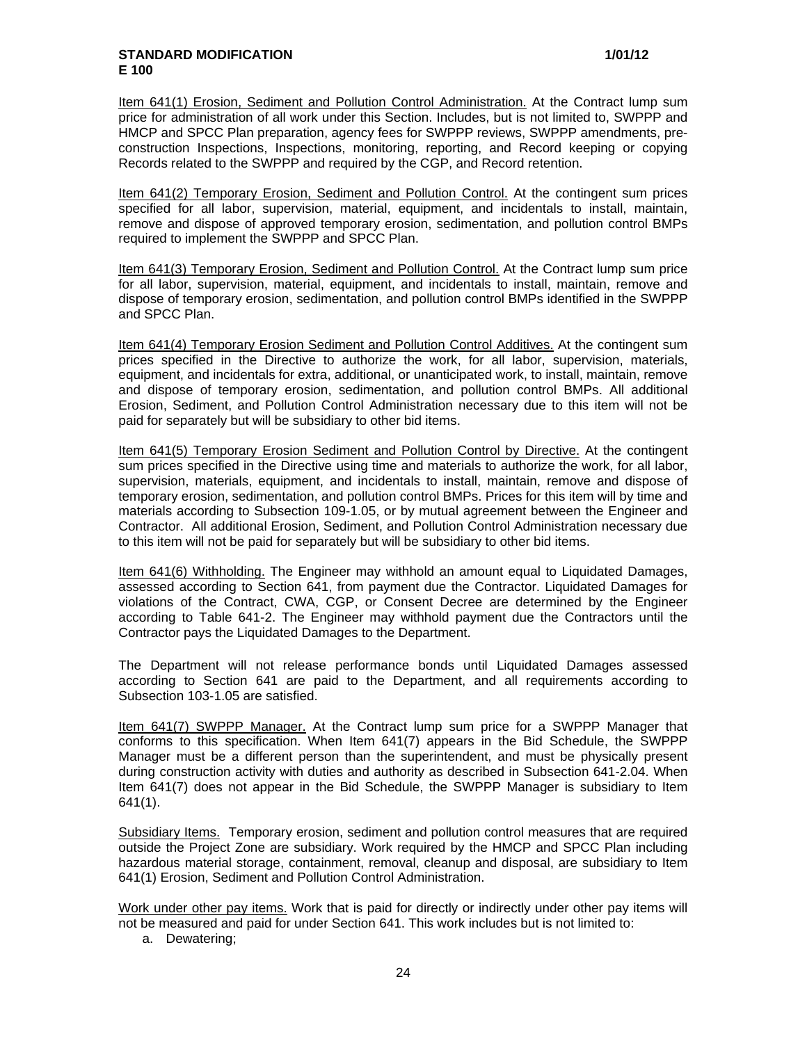Item 641(1) Erosion, Sediment and Pollution Control Administration. At the Contract lump sum price for administration of all work under this Section. Includes, but is not limited to, SWPPP and HMCP and SPCC Plan preparation, agency fees for SWPPP reviews, SWPPP amendments, preconstruction Inspections, Inspections, monitoring, reporting, and Record keeping or copying Records related to the SWPPP and required by the CGP, and Record retention.

Item 641(2) Temporary Erosion, Sediment and Pollution Control. At the contingent sum prices specified for all labor, supervision, material, equipment, and incidentals to install, maintain, remove and dispose of approved temporary erosion, sedimentation, and pollution control BMPs required to implement the SWPPP and SPCC Plan.

Item 641(3) Temporary Erosion, Sediment and Pollution Control. At the Contract lump sum price for all labor, supervision, material, equipment, and incidentals to install, maintain, remove and dispose of temporary erosion, sedimentation, and pollution control BMPs identified in the SWPPP and SPCC Plan.

Item 641(4) Temporary Erosion Sediment and Pollution Control Additives. At the contingent sum prices specified in the Directive to authorize the work, for all labor, supervision, materials, equipment, and incidentals for extra, additional, or unanticipated work, to install, maintain, remove and dispose of temporary erosion, sedimentation, and pollution control BMPs. All additional Erosion, Sediment, and Pollution Control Administration necessary due to this item will not be paid for separately but will be subsidiary to other bid items.

Item 641(5) Temporary Erosion Sediment and Pollution Control by Directive. At the contingent sum prices specified in the Directive using time and materials to authorize the work, for all labor, supervision, materials, equipment, and incidentals to install, maintain, remove and dispose of temporary erosion, sedimentation, and pollution control BMPs. Prices for this item will by time and materials according to Subsection 109-1.05, or by mutual agreement between the Engineer and Contractor. All additional Erosion, Sediment, and Pollution Control Administration necessary due to this item will not be paid for separately but will be subsidiary to other bid items.

Item 641(6) Withholding. The Engineer may withhold an amount equal to Liquidated Damages, assessed according to Section 641, from payment due the Contractor. Liquidated Damages for violations of the Contract, CWA, CGP, or Consent Decree are determined by the Engineer according to Table 641-2. The Engineer may withhold payment due the Contractors until the Contractor pays the Liquidated Damages to the Department.

The Department will not release performance bonds until Liquidated Damages assessed according to Section 641 are paid to the Department, and all requirements according to Subsection 103-1.05 are satisfied.

Item 641(7) SWPPP Manager. At the Contract lump sum price for a SWPPP Manager that conforms to this specification. When Item 641(7) appears in the Bid Schedule, the SWPPP Manager must be a different person than the superintendent, and must be physically present during construction activity with duties and authority as described in Subsection 641-2.04. When Item 641(7) does not appear in the Bid Schedule, the SWPPP Manager is subsidiary to Item 641(1).

Subsidiary Items. Temporary erosion, sediment and pollution control measures that are required outside the Project Zone are subsidiary. Work required by the HMCP and SPCC Plan including hazardous material storage, containment, removal, cleanup and disposal, are subsidiary to Item 641(1) Erosion, Sediment and Pollution Control Administration.

Work under other pay items. Work that is paid for directly or indirectly under other pay items will not be measured and paid for under Section 641. This work includes but is not limited to:

a. Dewatering;